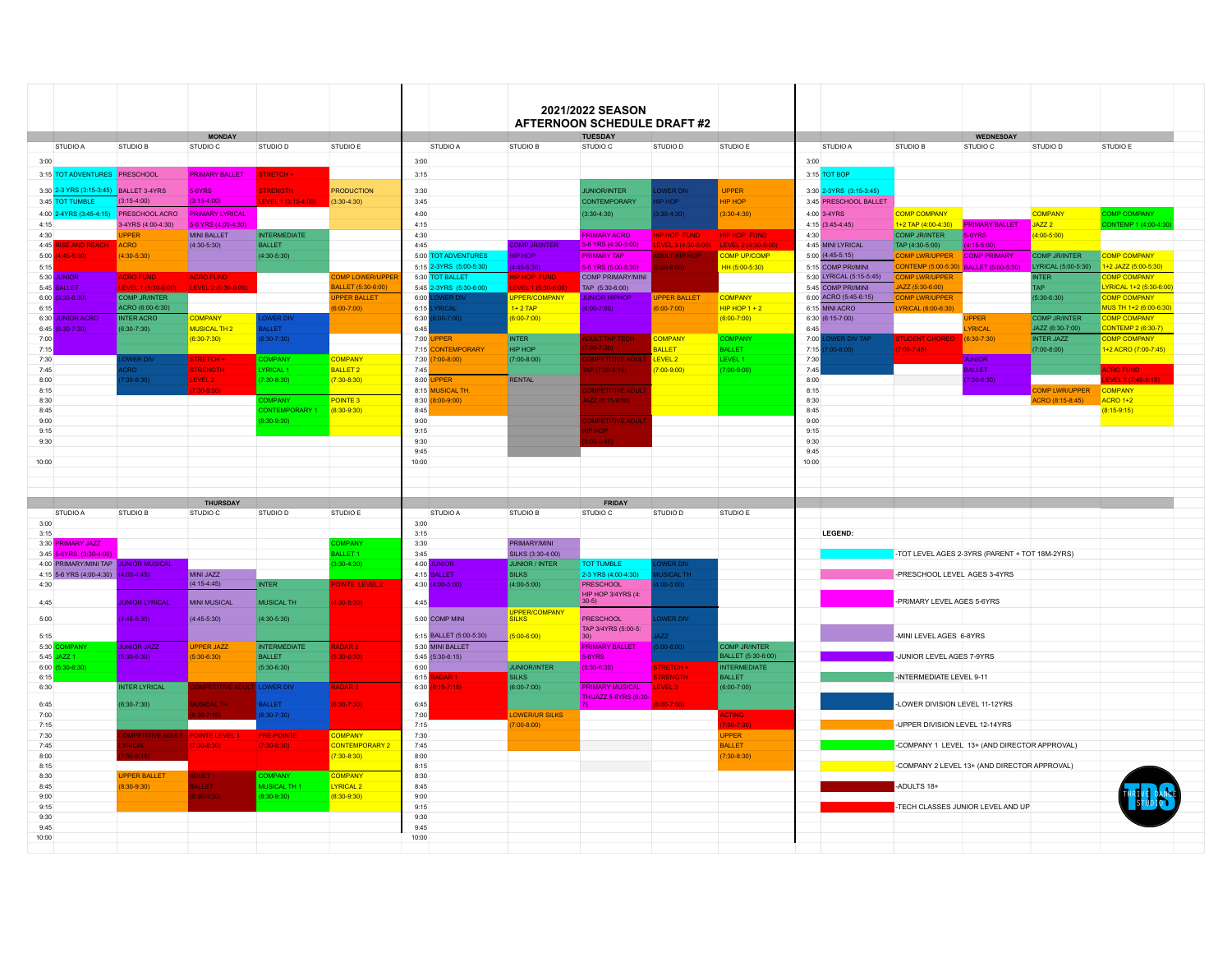| 2021/2022 SEASON<br><b>AFTERNOON SCHEDULE DRAFT #2</b><br><b>TUESDAY</b><br><b>MONDAY</b><br><b>WEDNESDAY</b><br>STUDIO A<br><b>STUDIO B</b><br>STUDIO C<br>STUDIO D<br>STUDIO E<br>STUDIO A<br><b>STUDIO B</b><br>STUDIO C<br>STUDIO D<br>STUDIO E<br>STUDIO A<br><b>STUDIO B</b><br>STUDIO C<br>3:00<br>3:00<br><b>PRIMARY BALLET</b><br><b>TRETCH +</b><br>3:15<br>3:15 TOT BOP<br>3:30<br><b>UPPER</b><br>3:30 2-3YRS (3:15-3:45)<br>-3 YRS (3:15-3:45)<br><b>BALLET 3-4YRS</b><br>5-6YRS<br>TRENGTH<br><b>PRODUCTION</b><br>UNIOR/INTER<br><b>WER DIV</b><br>$(3:15-4:00)$<br>$(3:15-4:00)$<br><b>HIP HOP</b><br>3:45 PRESCHOOL BALLET<br>EVEL 1 (3:15.4:00)<br>$(3:30-4:30)$<br>3:45<br>CONTEMPORARY<br>P HOP<br>PRESCHOOL ACRO<br><b>PRIMARY LYRICAL</b><br>4:00<br>$(3:30-4:30)$<br>$3:30 - 4:30$<br>$3:30-4:30$<br>4:00 3-4YRS<br><b>COMP COMPANY</b><br>5-6 YRS (4:00-4:30)<br>4:15<br>$4:15$ (3:45-4:45)<br>1+2 TAP (4:00-4:30)<br><b>PRIMARY BALLET</b><br>3-4YRS (4:00-4:30)<br><b>MINI BALLET</b><br><b>INTERMEDIATE</b><br>4:30<br><b>COMP JR/INTER</b><br>5-6YRS<br><b>UPPER</b><br><b>PRIMARY ACRO</b><br><b>HIP HOP FUND</b><br>4:30<br>P HOP FUND<br>5-6 YRS (4:30-5:00)<br>EVEL 3 (4:30-5:00<br>$(4:15-5:00)$<br><b>ACRO</b><br>$(4:30-5:30)$<br><b>BALLET</b><br>4.45<br>COMP JR/INTER<br>LEVEL 2 (4:30-5:00<br>4:45 MINI I YRICAL<br><b>SE AND REACH</b><br>TAP (4:30-5:00)<br><b>COMP PRIMARY</b><br>$(4:30 - 5:30)$<br>$(4:30-5:30)$<br>5:00 TOT ADVENTURES<br>HIP HOP<br><b>PRIMARY TAP</b><br><b>NULT HIP HO</b><br><b>COMP UP/COMP</b><br>5:00 (4:45-5:15)<br>$(45-5)30$<br><b>COMP LWR/UPPER</b><br>5:15 2-3YRS (5:00-5:30)<br>CONTEMP (5:00-5:30)<br>HH (5:00-5:30)<br>5:15 COMP PRI/MINI<br>BALLET (5:00-5:30)<br>$4:45 - 5:30$<br>-6 YRS (5:00-5:30)<br>$00 - 6:001$<br><b>COMP PRIMARY/MINI</b><br>5:30 LYRICAL (5:15-5:45)<br><b>UNIOR</b><br><b>ACRO FUND</b><br>OMP LOWER/UPPE<br>5:30 TOT BALLET<br>P HOP FUND<br><b>COMP LWR/UPPER</b><br>NTER<br><b>ACRO FUND</b><br>ALLET (5:30-6:00)<br>JAZZ (5:30-6:00)<br>BALLET<br><b>CVCL 470-20</b><br>LEVEL 276:30-6:0<br>5:45 2-3YRS (5:30-6:00)<br>VEL 17530-6:00<br>TAP (5:30-6:00)<br>5:45 COMP PRI/MINI<br>AP <sup></sup><br><b>COMP JR/INTER</b><br>6:00 ACRO (5:45-6:15)<br>$5:30 - 6:30$<br><b>PPER BALLET</b><br>6:00<br><b>JPPER/COMPANY</b><br><b>UPPER BALLET</b><br><b>COMPANY</b><br><b>COMP LWR/UPPER</b><br>WER DI<br><b>UNIOR HIPHOP</b><br>ACRO (6:00-6:30)<br>$(00-7:00)$<br>6:15<br>RICAL<br>$1+2$ TAP<br>$(00-7:00)$<br>$(6:00-7:00)$<br>$HIP HOP 1 + 2$<br>6:15 MINI ACRO<br>LYRICAL (6:00-6:30)<br><b>INTER ACRO</b><br>$(00-7:00)$<br><b>UNIOR ACRC</b><br><b>COMPANY</b><br><b>WER DIV</b><br>6:30<br>$6:00 - 7:00$<br>$(6:00-7:00)$<br>6:30 (6:15-7:00)<br><b>JPPER</b><br>$(30-7)30$<br>$(6:30-7:30)$<br><b>MUSICAL TH 2</b><br><b>ALLET</b><br>6:45<br>6:45<br><b>YRICAL</b><br><b>COMPANY</b><br><b>INTER</b><br>$(6:30-7:30)$<br>$(30-7)30$<br>COMPANY<br>7:00 UPPER<br><b>JLT TAP TECH</b><br>7:00<br><b>UDENT CHORE</b><br>$(6:30 - 7:30)$<br><b>BALLET</b><br><b>BALLET</b><br>7:15 CONTEMPORARY<br><b>HIP HOP</b><br>7:15<br>0.8(00)<br>$100 - 7145$<br>LEVEL 2<br><b>PETITIVE ADUL</b><br>LEVEL 1<br><b>WERDIV</b><br><b>OMPANY</b><br>$(7:00-8:00)$<br>7:30<br><b>JUNIOR</b><br>TRETCH +<br>COMPANY<br>7:30 (7:00-8:00)<br>YRICAL 1<br><b>BALLET 2</b><br>$(7:00-9:00)$<br>$(7:00-9:00)$<br>7:45<br>OR:<br><b>TRENGTH</b><br>7:45<br>$(7:30-8:15)$<br><b>BALLET</b><br>$(30-8:30)$<br>EVEL 2<br>7:30-8:30)<br>$(7:30-8:30)$<br>8:00 <b>UPPER</b><br><b>RENTAL</b><br>8:00<br>$(7:30 - 8:30)$<br><b>IPETITIVE ADU</b><br>30-8:30<br>8:15 MUSICAL TH.<br>8:15<br>POINTE <sub>3</sub><br><b>DMPANY</b><br>8:30 (8:00-9:00)<br>$Z(8:15-9:00)$<br>8:30<br>$(8:30-9:30)$<br>ONTEMPORARY<br>8:45<br>8:45<br>8:30-9:30)<br><b>IPETITIVE ADUL</b><br>9:00<br>9:00<br>9:15<br>9:15<br>HOP<br>9:30<br>9:30<br>9.45<br>9:45<br>10:00<br>10:00<br><b>THURSDAY</b><br><b>FRIDAY</b><br>STUDIO B<br>STUDIO C<br>STUDIO D<br>STUDIO C<br>STUDIO D<br>STUDIO A<br>STUDIO F<br>STUDIO A<br>STUDIO B<br>STUDIO F<br>3:00<br>LEGEND:<br>3:15<br>OMPANY<br>3:30<br>PRIMARY/MINI<br>ALLET <sub>1</sub><br>SILKS (3:30-4:00)<br>-TOT LEVEL AGES 2-3YRS (PARENT + TOT 18M-2YRS)<br>3:45<br>$3:30-4:30$<br>4:00 JUNIOR<br>JUNIOR / INTER<br><b>TOT TUMBLE</b><br>WER DIV<br>-PRESCHOOL LEVEL AGES 3-4YRS<br><b>MINI JAZZ</b><br>4:15 BALLET<br><b>SILKS</b><br>2-3 YRS (4:00-4:30)<br><b>JSICAL TH</b><br>$(4:15-4:45)$<br>4:30 (4:00-5:00)<br>$(4:00-5:00)$<br>PRESCHOOL<br><b>INTER</b><br><b>INTE LEVEL 2</b><br>$(00-5:00)$<br>HIP HOP 3/4YRS (4:<br>-PRIMARY LEVEL AGES 5-6YRS<br><b>JUNIOR LYRICAL</b><br><b>MINI MUSICAL</b><br><b>MUSICAL TH</b><br>$30 - 5:30$<br>4:45<br>$30-5$<br><b>UPPER/COMPANY</b><br>5:00 COMP MINI<br>$(4:45-5:30)$<br>$(4:45-5:30)$<br>$(4:30 - 5:30)$<br><b>SILKS</b><br><b>PRESCHOOL</b><br><b>OWER DIV</b><br>TAP 3/4YRS (5:00-5:<br>5:15 BALLET (5:00-5:30)<br>-MINI LEVEL AGES 6-8YRS<br>$(5:00-6:00)$<br>77<br>30)<br><b>JUNIOR JAZZ</b><br><b>UPPER JAZZ</b><br><b>INTERMEDIATE</b><br>5:30 MINI BALLET<br><b>PRIMARY BALLET</b><br>(00:8:00:6)<br><b>COMP JR/INTER</b><br><b>COMPANY</b><br>DAR <sub>2</sub><br>BALLET (5:30-6:00)<br>$(5:30-6:30)$<br>$(5:30-6:30)$<br><b>BALLET</b><br>$30 - 6:30$<br>$5:45$ (5:30-6:15)<br>-JUNIOR LEVEL AGES 7-9YRS<br>5-6YRS<br><b>INTERMEDIATE</b><br>$(5:30-6:30)$<br>$(5:30-6:30)$<br>6:00<br><b>JUNIOR/INTER</b><br>$(5:30-6:30)$<br><b>TRETCH +</b><br><b>TRENGTH</b><br><b>BALLET</b><br>-INTERMEDIATE LEVEL 9-11<br>6:15<br><b>ADAR1</b><br><b>SILKS</b><br>NTER LYRICAL<br>$(6:00-7:00)$<br><b>IPETITIVE AD</b><br>OWER DIV<br>ADAR <sub>3</sub><br>6:30 (6:15-7:15)<br><b>PRIMARY MUSICAL</b><br>EVEL 3<br>$(6:00-7:00)$<br>TH/JAZZ 5-6YRS (6:3)<br><b>BALLET</b><br>-LOWER DIVISION LEVEL 11-12YRS<br>6:30-7:30)<br><b>ICAL TH</b><br>$3:30 - 7:30$<br>6:45<br>$6:30 - 7:30$<br>7:00<br><b>I OWER/UR SILKS</b><br><b>CTING</b><br>$00-7.30$<br>7:15<br>$(7:00-8:00)$<br>-UPPER DIVISION LEVEL 12-14YRS<br><b>PRE-POINTE</b><br><b>COMPANY</b><br>7:30<br><b>UPPER</b><br><b>POINTE LEVEL</b><br>TIVE ADULT<br><b>CONTEMPORARY 2</b><br><b>BALLET</b><br>-COMPANY 1 LEVEL 13+ (AND DIRECTOR APPROVAL)<br><b>RICAL</b><br>$(7:30-8:30)$<br>$(7:30-8:30)$<br>7:45<br>$(7:30-8:30)$<br>8:00<br>$(7:30-8:30)$<br>-COMPANY 2 LEVEL 13+ (AND DIRECTOR APPROVAL)<br>8:15<br><b>COMPANY</b><br><b>UPPER BALLET</b><br>OMPANY<br>8:30<br>LYRICAL <sub>2</sub><br>-ADULTS 18+<br>MUSICAL TH 1<br>$(8:30-9:30)$<br><b>MIFT</b><br>8:45<br>8:30-9:30)<br>$(8:30-9:30)$<br>30-9:30<br>9:00<br>TECH CLASSES JUNIOR LEVEL AND UP<br>9:15<br>9:30 |  |  |  |  |  |  |  |                                             |                                            |
|--------------------------------------------------------------------------------------------------------------------------------------------------------------------------------------------------------------------------------------------------------------------------------------------------------------------------------------------------------------------------------------------------------------------------------------------------------------------------------------------------------------------------------------------------------------------------------------------------------------------------------------------------------------------------------------------------------------------------------------------------------------------------------------------------------------------------------------------------------------------------------------------------------------------------------------------------------------------------------------------------------------------------------------------------------------------------------------------------------------------------------------------------------------------------------------------------------------------------------------------------------------------------------------------------------------------------------------------------------------------------------------------------------------------------------------------------------------------------------------------------------------------------------------------------------------------------------------------------------------------------------------------------------------------------------------------------------------------------------------------------------------------------------------------------------------------------------------------------------------------------------------------------------------------------------------------------------------------------------------------------------------------------------------------------------------------------------------------------------------------------------------------------------------------------------------------------------------------------------------------------------------------------------------------------------------------------------------------------------------------------------------------------------------------------------------------------------------------------------------------------------------------------------------------------------------------------------------------------------------------------------------------------------------------------------------------------------------------------------------------------------------------------------------------------------------------------------------------------------------------------------------------------------------------------------------------------------------------------------------------------------------------------------------------------------------------------------------------------------------------------------------------------------------------------------------------------------------------------------------------------------------------------------------------------------------------------------------------------------------------------------------------------------------------------------------------------------------------------------------------------------------------------------------------------------------------------------------------------------------------------------------------------------------------------------------------------------------------------------------------------------------------------------------------------------------------------------------------------------------------------------------------------------------------------------------------------------------------------------------------------------------------------------------------------------------------------------------------------------------------------------------------------------------------------------------------------------------------------------------------------------------------------------------------------------------------------------------------------------------------------------------------------------------------------------------------------------------------------------------------------------------------------------------------------------------------------------------------------------------------------------------------------------------------------------------------------------------------------------------------------------------------------------------------------------------------------------------------------------------------------------------------------------------------------------------------------------------------------------------------------------------------------------------------------------------------------------------------------------------------------------------------------------------------------------------------------------------------------------------------------------------------------------------------------------------------------------------------------------------------------------------------------------------------------------------------------------------------------------------------------------------------------------------------------------------------------------------------------------------------------------------------------------------------------------------------------------------------------------------------------------------------------------------------------------------------------------------------------------------------------------------------------------------------------------------------------------------------------------------------------------------------------------------------------------------------------------------------------------------------------------------------------------------------------------------------------------------------------------------------------------------------------------------------------------------------------------------------------------------------------------------------------------------------------------------------------------------------------------------------------------------------------------------------------------------------------------------------------------------------------------------------------------------------------------------------------------------------|--|--|--|--|--|--|--|---------------------------------------------|--------------------------------------------|
| 3:00<br>3:15 TOT ADVENTURES PRESCHOOL<br>3:30<br>3:45 TOT TUMBLE<br>4:00 2-4YRS (3:45-4:15)<br>4:15<br>4:30<br>4.45<br>5:00<br>5:15<br>5:30<br>5:45<br>6:00<br>6:15<br>6:30<br>6:45<br>7:00<br>7:15<br>7:30<br>7:45<br>8:00<br>8:15<br>8:30<br>8:45<br>9:00<br>9:15<br>9:30<br>10:00<br>3:00<br>3:15<br>3:30 PRIMARY JAZZ<br>3:45 5-6YRS (3:30-4:00)<br>4:00 PRIMARY/MINI TAP JUNIOR MUSICAL<br>4:15 5-6 YRS (4:00-4:30) (4:00-4:45)<br>4:30<br>4:45<br>5:00<br>5:15<br>5:30<br>5:45 JAZZ 1<br>6:00<br>6:15<br>6:30<br>6:45<br>7:00<br>7:15<br>7:30<br>7:45<br>8:00<br>8:15<br>8:30<br>8:45<br>9:00<br>9:15<br>9:30                                                                                                                                                                                                                                                                                                                                                                                                                                                                                                                                                                                                                                                                                                                                                                                                                                                                                                                                                                                                                                                                                                                                                                                                                                                                                                                                                                                                                                                                                                                                                                                                                                                                                                                                                                                                                                                                                                                                                                                                                                                                                                                                                                                                                                                                                                                                                                                                                                                                                                                                                                                                                                                                                                                                                                                                                                                                                                                                                                                                                                                                                                                                                                                                                                                                                                                                                                                                                                                                                                                                                                                                                                                                                                                                                                                                                                                                                                                                                                                                                                                                                                                                                                                                                                                                                                                                                                                                                                                                                                                                                                                                                                                                                                                                                                                                                                                                                                                                                                                                                                                                                                                                                                                                                                                                                                                                                                                                                                                                                                                                                                                                                                                                                                                                                                                                                                                                                                                                                                                                                                                                                                |  |  |  |  |  |  |  |                                             |                                            |
|                                                                                                                                                                                                                                                                                                                                                                                                                                                                                                                                                                                                                                                                                                                                                                                                                                                                                                                                                                                                                                                                                                                                                                                                                                                                                                                                                                                                                                                                                                                                                                                                                                                                                                                                                                                                                                                                                                                                                                                                                                                                                                                                                                                                                                                                                                                                                                                                                                                                                                                                                                                                                                                                                                                                                                                                                                                                                                                                                                                                                                                                                                                                                                                                                                                                                                                                                                                                                                                                                                                                                                                                                                                                                                                                                                                                                                                                                                                                                                                                                                                                                                                                                                                                                                                                                                                                                                                                                                                                                                                                                                                                                                                                                                                                                                                                                                                                                                                                                                                                                                                                                                                                                                                                                                                                                                                                                                                                                                                                                                                                                                                                                                                                                                                                                                                                                                                                                                                                                                                                                                                                                                                                                                                                                                                                                                                                                                                                                                                                                                                                                                                                                                                                                                                    |  |  |  |  |  |  |  |                                             |                                            |
|                                                                                                                                                                                                                                                                                                                                                                                                                                                                                                                                                                                                                                                                                                                                                                                                                                                                                                                                                                                                                                                                                                                                                                                                                                                                                                                                                                                                                                                                                                                                                                                                                                                                                                                                                                                                                                                                                                                                                                                                                                                                                                                                                                                                                                                                                                                                                                                                                                                                                                                                                                                                                                                                                                                                                                                                                                                                                                                                                                                                                                                                                                                                                                                                                                                                                                                                                                                                                                                                                                                                                                                                                                                                                                                                                                                                                                                                                                                                                                                                                                                                                                                                                                                                                                                                                                                                                                                                                                                                                                                                                                                                                                                                                                                                                                                                                                                                                                                                                                                                                                                                                                                                                                                                                                                                                                                                                                                                                                                                                                                                                                                                                                                                                                                                                                                                                                                                                                                                                                                                                                                                                                                                                                                                                                                                                                                                                                                                                                                                                                                                                                                                                                                                                                                    |  |  |  |  |  |  |  | STUDIO D                                    | STUDIO E                                   |
|                                                                                                                                                                                                                                                                                                                                                                                                                                                                                                                                                                                                                                                                                                                                                                                                                                                                                                                                                                                                                                                                                                                                                                                                                                                                                                                                                                                                                                                                                                                                                                                                                                                                                                                                                                                                                                                                                                                                                                                                                                                                                                                                                                                                                                                                                                                                                                                                                                                                                                                                                                                                                                                                                                                                                                                                                                                                                                                                                                                                                                                                                                                                                                                                                                                                                                                                                                                                                                                                                                                                                                                                                                                                                                                                                                                                                                                                                                                                                                                                                                                                                                                                                                                                                                                                                                                                                                                                                                                                                                                                                                                                                                                                                                                                                                                                                                                                                                                                                                                                                                                                                                                                                                                                                                                                                                                                                                                                                                                                                                                                                                                                                                                                                                                                                                                                                                                                                                                                                                                                                                                                                                                                                                                                                                                                                                                                                                                                                                                                                                                                                                                                                                                                                                                    |  |  |  |  |  |  |  |                                             |                                            |
|                                                                                                                                                                                                                                                                                                                                                                                                                                                                                                                                                                                                                                                                                                                                                                                                                                                                                                                                                                                                                                                                                                                                                                                                                                                                                                                                                                                                                                                                                                                                                                                                                                                                                                                                                                                                                                                                                                                                                                                                                                                                                                                                                                                                                                                                                                                                                                                                                                                                                                                                                                                                                                                                                                                                                                                                                                                                                                                                                                                                                                                                                                                                                                                                                                                                                                                                                                                                                                                                                                                                                                                                                                                                                                                                                                                                                                                                                                                                                                                                                                                                                                                                                                                                                                                                                                                                                                                                                                                                                                                                                                                                                                                                                                                                                                                                                                                                                                                                                                                                                                                                                                                                                                                                                                                                                                                                                                                                                                                                                                                                                                                                                                                                                                                                                                                                                                                                                                                                                                                                                                                                                                                                                                                                                                                                                                                                                                                                                                                                                                                                                                                                                                                                                                                    |  |  |  |  |  |  |  |                                             |                                            |
|                                                                                                                                                                                                                                                                                                                                                                                                                                                                                                                                                                                                                                                                                                                                                                                                                                                                                                                                                                                                                                                                                                                                                                                                                                                                                                                                                                                                                                                                                                                                                                                                                                                                                                                                                                                                                                                                                                                                                                                                                                                                                                                                                                                                                                                                                                                                                                                                                                                                                                                                                                                                                                                                                                                                                                                                                                                                                                                                                                                                                                                                                                                                                                                                                                                                                                                                                                                                                                                                                                                                                                                                                                                                                                                                                                                                                                                                                                                                                                                                                                                                                                                                                                                                                                                                                                                                                                                                                                                                                                                                                                                                                                                                                                                                                                                                                                                                                                                                                                                                                                                                                                                                                                                                                                                                                                                                                                                                                                                                                                                                                                                                                                                                                                                                                                                                                                                                                                                                                                                                                                                                                                                                                                                                                                                                                                                                                                                                                                                                                                                                                                                                                                                                                                                    |  |  |  |  |  |  |  |                                             |                                            |
|                                                                                                                                                                                                                                                                                                                                                                                                                                                                                                                                                                                                                                                                                                                                                                                                                                                                                                                                                                                                                                                                                                                                                                                                                                                                                                                                                                                                                                                                                                                                                                                                                                                                                                                                                                                                                                                                                                                                                                                                                                                                                                                                                                                                                                                                                                                                                                                                                                                                                                                                                                                                                                                                                                                                                                                                                                                                                                                                                                                                                                                                                                                                                                                                                                                                                                                                                                                                                                                                                                                                                                                                                                                                                                                                                                                                                                                                                                                                                                                                                                                                                                                                                                                                                                                                                                                                                                                                                                                                                                                                                                                                                                                                                                                                                                                                                                                                                                                                                                                                                                                                                                                                                                                                                                                                                                                                                                                                                                                                                                                                                                                                                                                                                                                                                                                                                                                                                                                                                                                                                                                                                                                                                                                                                                                                                                                                                                                                                                                                                                                                                                                                                                                                                                                    |  |  |  |  |  |  |  |                                             |                                            |
|                                                                                                                                                                                                                                                                                                                                                                                                                                                                                                                                                                                                                                                                                                                                                                                                                                                                                                                                                                                                                                                                                                                                                                                                                                                                                                                                                                                                                                                                                                                                                                                                                                                                                                                                                                                                                                                                                                                                                                                                                                                                                                                                                                                                                                                                                                                                                                                                                                                                                                                                                                                                                                                                                                                                                                                                                                                                                                                                                                                                                                                                                                                                                                                                                                                                                                                                                                                                                                                                                                                                                                                                                                                                                                                                                                                                                                                                                                                                                                                                                                                                                                                                                                                                                                                                                                                                                                                                                                                                                                                                                                                                                                                                                                                                                                                                                                                                                                                                                                                                                                                                                                                                                                                                                                                                                                                                                                                                                                                                                                                                                                                                                                                                                                                                                                                                                                                                                                                                                                                                                                                                                                                                                                                                                                                                                                                                                                                                                                                                                                                                                                                                                                                                                                                    |  |  |  |  |  |  |  | <b>COMPANY</b>                              | COMP COMPANY                               |
|                                                                                                                                                                                                                                                                                                                                                                                                                                                                                                                                                                                                                                                                                                                                                                                                                                                                                                                                                                                                                                                                                                                                                                                                                                                                                                                                                                                                                                                                                                                                                                                                                                                                                                                                                                                                                                                                                                                                                                                                                                                                                                                                                                                                                                                                                                                                                                                                                                                                                                                                                                                                                                                                                                                                                                                                                                                                                                                                                                                                                                                                                                                                                                                                                                                                                                                                                                                                                                                                                                                                                                                                                                                                                                                                                                                                                                                                                                                                                                                                                                                                                                                                                                                                                                                                                                                                                                                                                                                                                                                                                                                                                                                                                                                                                                                                                                                                                                                                                                                                                                                                                                                                                                                                                                                                                                                                                                                                                                                                                                                                                                                                                                                                                                                                                                                                                                                                                                                                                                                                                                                                                                                                                                                                                                                                                                                                                                                                                                                                                                                                                                                                                                                                                                                    |  |  |  |  |  |  |  | JAZZ <sub>2</sub>                           | CONTEMP 1 (4:00-4:3                        |
|                                                                                                                                                                                                                                                                                                                                                                                                                                                                                                                                                                                                                                                                                                                                                                                                                                                                                                                                                                                                                                                                                                                                                                                                                                                                                                                                                                                                                                                                                                                                                                                                                                                                                                                                                                                                                                                                                                                                                                                                                                                                                                                                                                                                                                                                                                                                                                                                                                                                                                                                                                                                                                                                                                                                                                                                                                                                                                                                                                                                                                                                                                                                                                                                                                                                                                                                                                                                                                                                                                                                                                                                                                                                                                                                                                                                                                                                                                                                                                                                                                                                                                                                                                                                                                                                                                                                                                                                                                                                                                                                                                                                                                                                                                                                                                                                                                                                                                                                                                                                                                                                                                                                                                                                                                                                                                                                                                                                                                                                                                                                                                                                                                                                                                                                                                                                                                                                                                                                                                                                                                                                                                                                                                                                                                                                                                                                                                                                                                                                                                                                                                                                                                                                                                                    |  |  |  |  |  |  |  | $(4:00 - 5:00)$                             |                                            |
|                                                                                                                                                                                                                                                                                                                                                                                                                                                                                                                                                                                                                                                                                                                                                                                                                                                                                                                                                                                                                                                                                                                                                                                                                                                                                                                                                                                                                                                                                                                                                                                                                                                                                                                                                                                                                                                                                                                                                                                                                                                                                                                                                                                                                                                                                                                                                                                                                                                                                                                                                                                                                                                                                                                                                                                                                                                                                                                                                                                                                                                                                                                                                                                                                                                                                                                                                                                                                                                                                                                                                                                                                                                                                                                                                                                                                                                                                                                                                                                                                                                                                                                                                                                                                                                                                                                                                                                                                                                                                                                                                                                                                                                                                                                                                                                                                                                                                                                                                                                                                                                                                                                                                                                                                                                                                                                                                                                                                                                                                                                                                                                                                                                                                                                                                                                                                                                                                                                                                                                                                                                                                                                                                                                                                                                                                                                                                                                                                                                                                                                                                                                                                                                                                                                    |  |  |  |  |  |  |  |                                             |                                            |
|                                                                                                                                                                                                                                                                                                                                                                                                                                                                                                                                                                                                                                                                                                                                                                                                                                                                                                                                                                                                                                                                                                                                                                                                                                                                                                                                                                                                                                                                                                                                                                                                                                                                                                                                                                                                                                                                                                                                                                                                                                                                                                                                                                                                                                                                                                                                                                                                                                                                                                                                                                                                                                                                                                                                                                                                                                                                                                                                                                                                                                                                                                                                                                                                                                                                                                                                                                                                                                                                                                                                                                                                                                                                                                                                                                                                                                                                                                                                                                                                                                                                                                                                                                                                                                                                                                                                                                                                                                                                                                                                                                                                                                                                                                                                                                                                                                                                                                                                                                                                                                                                                                                                                                                                                                                                                                                                                                                                                                                                                                                                                                                                                                                                                                                                                                                                                                                                                                                                                                                                                                                                                                                                                                                                                                                                                                                                                                                                                                                                                                                                                                                                                                                                                                                    |  |  |  |  |  |  |  | <b>COMP JR/INTER</b><br>LYRICAL (5:00-5:30) | <b>COMP COMPANY</b><br>+2 JAZZ (5:00-5:30) |
|                                                                                                                                                                                                                                                                                                                                                                                                                                                                                                                                                                                                                                                                                                                                                                                                                                                                                                                                                                                                                                                                                                                                                                                                                                                                                                                                                                                                                                                                                                                                                                                                                                                                                                                                                                                                                                                                                                                                                                                                                                                                                                                                                                                                                                                                                                                                                                                                                                                                                                                                                                                                                                                                                                                                                                                                                                                                                                                                                                                                                                                                                                                                                                                                                                                                                                                                                                                                                                                                                                                                                                                                                                                                                                                                                                                                                                                                                                                                                                                                                                                                                                                                                                                                                                                                                                                                                                                                                                                                                                                                                                                                                                                                                                                                                                                                                                                                                                                                                                                                                                                                                                                                                                                                                                                                                                                                                                                                                                                                                                                                                                                                                                                                                                                                                                                                                                                                                                                                                                                                                                                                                                                                                                                                                                                                                                                                                                                                                                                                                                                                                                                                                                                                                                                    |  |  |  |  |  |  |  |                                             | <b>COMP COMPANY</b>                        |
|                                                                                                                                                                                                                                                                                                                                                                                                                                                                                                                                                                                                                                                                                                                                                                                                                                                                                                                                                                                                                                                                                                                                                                                                                                                                                                                                                                                                                                                                                                                                                                                                                                                                                                                                                                                                                                                                                                                                                                                                                                                                                                                                                                                                                                                                                                                                                                                                                                                                                                                                                                                                                                                                                                                                                                                                                                                                                                                                                                                                                                                                                                                                                                                                                                                                                                                                                                                                                                                                                                                                                                                                                                                                                                                                                                                                                                                                                                                                                                                                                                                                                                                                                                                                                                                                                                                                                                                                                                                                                                                                                                                                                                                                                                                                                                                                                                                                                                                                                                                                                                                                                                                                                                                                                                                                                                                                                                                                                                                                                                                                                                                                                                                                                                                                                                                                                                                                                                                                                                                                                                                                                                                                                                                                                                                                                                                                                                                                                                                                                                                                                                                                                                                                                                                    |  |  |  |  |  |  |  |                                             | LYRICAL 1+2 (5:30-6:00                     |
|                                                                                                                                                                                                                                                                                                                                                                                                                                                                                                                                                                                                                                                                                                                                                                                                                                                                                                                                                                                                                                                                                                                                                                                                                                                                                                                                                                                                                                                                                                                                                                                                                                                                                                                                                                                                                                                                                                                                                                                                                                                                                                                                                                                                                                                                                                                                                                                                                                                                                                                                                                                                                                                                                                                                                                                                                                                                                                                                                                                                                                                                                                                                                                                                                                                                                                                                                                                                                                                                                                                                                                                                                                                                                                                                                                                                                                                                                                                                                                                                                                                                                                                                                                                                                                                                                                                                                                                                                                                                                                                                                                                                                                                                                                                                                                                                                                                                                                                                                                                                                                                                                                                                                                                                                                                                                                                                                                                                                                                                                                                                                                                                                                                                                                                                                                                                                                                                                                                                                                                                                                                                                                                                                                                                                                                                                                                                                                                                                                                                                                                                                                                                                                                                                                                    |  |  |  |  |  |  |  | $(5:30-6:30)$                               | <b>COMP COMPANY</b>                        |
|                                                                                                                                                                                                                                                                                                                                                                                                                                                                                                                                                                                                                                                                                                                                                                                                                                                                                                                                                                                                                                                                                                                                                                                                                                                                                                                                                                                                                                                                                                                                                                                                                                                                                                                                                                                                                                                                                                                                                                                                                                                                                                                                                                                                                                                                                                                                                                                                                                                                                                                                                                                                                                                                                                                                                                                                                                                                                                                                                                                                                                                                                                                                                                                                                                                                                                                                                                                                                                                                                                                                                                                                                                                                                                                                                                                                                                                                                                                                                                                                                                                                                                                                                                                                                                                                                                                                                                                                                                                                                                                                                                                                                                                                                                                                                                                                                                                                                                                                                                                                                                                                                                                                                                                                                                                                                                                                                                                                                                                                                                                                                                                                                                                                                                                                                                                                                                                                                                                                                                                                                                                                                                                                                                                                                                                                                                                                                                                                                                                                                                                                                                                                                                                                                                                    |  |  |  |  |  |  |  |                                             | MUS TH 1+2 (6:00-6:30)                     |
|                                                                                                                                                                                                                                                                                                                                                                                                                                                                                                                                                                                                                                                                                                                                                                                                                                                                                                                                                                                                                                                                                                                                                                                                                                                                                                                                                                                                                                                                                                                                                                                                                                                                                                                                                                                                                                                                                                                                                                                                                                                                                                                                                                                                                                                                                                                                                                                                                                                                                                                                                                                                                                                                                                                                                                                                                                                                                                                                                                                                                                                                                                                                                                                                                                                                                                                                                                                                                                                                                                                                                                                                                                                                                                                                                                                                                                                                                                                                                                                                                                                                                                                                                                                                                                                                                                                                                                                                                                                                                                                                                                                                                                                                                                                                                                                                                                                                                                                                                                                                                                                                                                                                                                                                                                                                                                                                                                                                                                                                                                                                                                                                                                                                                                                                                                                                                                                                                                                                                                                                                                                                                                                                                                                                                                                                                                                                                                                                                                                                                                                                                                                                                                                                                                                    |  |  |  |  |  |  |  | <b>COMP JR/INTER</b><br>JAZZ (6:30-7:00)    | COMP COMPANY<br>CONTEMP 2 (6:30-7)         |
|                                                                                                                                                                                                                                                                                                                                                                                                                                                                                                                                                                                                                                                                                                                                                                                                                                                                                                                                                                                                                                                                                                                                                                                                                                                                                                                                                                                                                                                                                                                                                                                                                                                                                                                                                                                                                                                                                                                                                                                                                                                                                                                                                                                                                                                                                                                                                                                                                                                                                                                                                                                                                                                                                                                                                                                                                                                                                                                                                                                                                                                                                                                                                                                                                                                                                                                                                                                                                                                                                                                                                                                                                                                                                                                                                                                                                                                                                                                                                                                                                                                                                                                                                                                                                                                                                                                                                                                                                                                                                                                                                                                                                                                                                                                                                                                                                                                                                                                                                                                                                                                                                                                                                                                                                                                                                                                                                                                                                                                                                                                                                                                                                                                                                                                                                                                                                                                                                                                                                                                                                                                                                                                                                                                                                                                                                                                                                                                                                                                                                                                                                                                                                                                                                                                    |  |  |  |  |  |  |  | <b>INTER JAZZ</b>                           | COMP COMPANY                               |
|                                                                                                                                                                                                                                                                                                                                                                                                                                                                                                                                                                                                                                                                                                                                                                                                                                                                                                                                                                                                                                                                                                                                                                                                                                                                                                                                                                                                                                                                                                                                                                                                                                                                                                                                                                                                                                                                                                                                                                                                                                                                                                                                                                                                                                                                                                                                                                                                                                                                                                                                                                                                                                                                                                                                                                                                                                                                                                                                                                                                                                                                                                                                                                                                                                                                                                                                                                                                                                                                                                                                                                                                                                                                                                                                                                                                                                                                                                                                                                                                                                                                                                                                                                                                                                                                                                                                                                                                                                                                                                                                                                                                                                                                                                                                                                                                                                                                                                                                                                                                                                                                                                                                                                                                                                                                                                                                                                                                                                                                                                                                                                                                                                                                                                                                                                                                                                                                                                                                                                                                                                                                                                                                                                                                                                                                                                                                                                                                                                                                                                                                                                                                                                                                                                                    |  |  |  |  |  |  |  | $(7:00-8:00)$                               | 1+2 ACRO (7:00-7:45)                       |
|                                                                                                                                                                                                                                                                                                                                                                                                                                                                                                                                                                                                                                                                                                                                                                                                                                                                                                                                                                                                                                                                                                                                                                                                                                                                                                                                                                                                                                                                                                                                                                                                                                                                                                                                                                                                                                                                                                                                                                                                                                                                                                                                                                                                                                                                                                                                                                                                                                                                                                                                                                                                                                                                                                                                                                                                                                                                                                                                                                                                                                                                                                                                                                                                                                                                                                                                                                                                                                                                                                                                                                                                                                                                                                                                                                                                                                                                                                                                                                                                                                                                                                                                                                                                                                                                                                                                                                                                                                                                                                                                                                                                                                                                                                                                                                                                                                                                                                                                                                                                                                                                                                                                                                                                                                                                                                                                                                                                                                                                                                                                                                                                                                                                                                                                                                                                                                                                                                                                                                                                                                                                                                                                                                                                                                                                                                                                                                                                                                                                                                                                                                                                                                                                                                                    |  |  |  |  |  |  |  |                                             |                                            |
|                                                                                                                                                                                                                                                                                                                                                                                                                                                                                                                                                                                                                                                                                                                                                                                                                                                                                                                                                                                                                                                                                                                                                                                                                                                                                                                                                                                                                                                                                                                                                                                                                                                                                                                                                                                                                                                                                                                                                                                                                                                                                                                                                                                                                                                                                                                                                                                                                                                                                                                                                                                                                                                                                                                                                                                                                                                                                                                                                                                                                                                                                                                                                                                                                                                                                                                                                                                                                                                                                                                                                                                                                                                                                                                                                                                                                                                                                                                                                                                                                                                                                                                                                                                                                                                                                                                                                                                                                                                                                                                                                                                                                                                                                                                                                                                                                                                                                                                                                                                                                                                                                                                                                                                                                                                                                                                                                                                                                                                                                                                                                                                                                                                                                                                                                                                                                                                                                                                                                                                                                                                                                                                                                                                                                                                                                                                                                                                                                                                                                                                                                                                                                                                                                                                    |  |  |  |  |  |  |  |                                             | <b>CRO FUND</b>                            |
|                                                                                                                                                                                                                                                                                                                                                                                                                                                                                                                                                                                                                                                                                                                                                                                                                                                                                                                                                                                                                                                                                                                                                                                                                                                                                                                                                                                                                                                                                                                                                                                                                                                                                                                                                                                                                                                                                                                                                                                                                                                                                                                                                                                                                                                                                                                                                                                                                                                                                                                                                                                                                                                                                                                                                                                                                                                                                                                                                                                                                                                                                                                                                                                                                                                                                                                                                                                                                                                                                                                                                                                                                                                                                                                                                                                                                                                                                                                                                                                                                                                                                                                                                                                                                                                                                                                                                                                                                                                                                                                                                                                                                                                                                                                                                                                                                                                                                                                                                                                                                                                                                                                                                                                                                                                                                                                                                                                                                                                                                                                                                                                                                                                                                                                                                                                                                                                                                                                                                                                                                                                                                                                                                                                                                                                                                                                                                                                                                                                                                                                                                                                                                                                                                                                    |  |  |  |  |  |  |  |                                             | VEL 3 (7:45-8:15)                          |
|                                                                                                                                                                                                                                                                                                                                                                                                                                                                                                                                                                                                                                                                                                                                                                                                                                                                                                                                                                                                                                                                                                                                                                                                                                                                                                                                                                                                                                                                                                                                                                                                                                                                                                                                                                                                                                                                                                                                                                                                                                                                                                                                                                                                                                                                                                                                                                                                                                                                                                                                                                                                                                                                                                                                                                                                                                                                                                                                                                                                                                                                                                                                                                                                                                                                                                                                                                                                                                                                                                                                                                                                                                                                                                                                                                                                                                                                                                                                                                                                                                                                                                                                                                                                                                                                                                                                                                                                                                                                                                                                                                                                                                                                                                                                                                                                                                                                                                                                                                                                                                                                                                                                                                                                                                                                                                                                                                                                                                                                                                                                                                                                                                                                                                                                                                                                                                                                                                                                                                                                                                                                                                                                                                                                                                                                                                                                                                                                                                                                                                                                                                                                                                                                                                                    |  |  |  |  |  |  |  | <b>COMP LWR/UPPER</b><br>ACRO (8:15-8:45)   | <b>COMPANY</b><br>ACRO 1+2                 |
|                                                                                                                                                                                                                                                                                                                                                                                                                                                                                                                                                                                                                                                                                                                                                                                                                                                                                                                                                                                                                                                                                                                                                                                                                                                                                                                                                                                                                                                                                                                                                                                                                                                                                                                                                                                                                                                                                                                                                                                                                                                                                                                                                                                                                                                                                                                                                                                                                                                                                                                                                                                                                                                                                                                                                                                                                                                                                                                                                                                                                                                                                                                                                                                                                                                                                                                                                                                                                                                                                                                                                                                                                                                                                                                                                                                                                                                                                                                                                                                                                                                                                                                                                                                                                                                                                                                                                                                                                                                                                                                                                                                                                                                                                                                                                                                                                                                                                                                                                                                                                                                                                                                                                                                                                                                                                                                                                                                                                                                                                                                                                                                                                                                                                                                                                                                                                                                                                                                                                                                                                                                                                                                                                                                                                                                                                                                                                                                                                                                                                                                                                                                                                                                                                                                    |  |  |  |  |  |  |  |                                             | $(8:15-9:15)$                              |
|                                                                                                                                                                                                                                                                                                                                                                                                                                                                                                                                                                                                                                                                                                                                                                                                                                                                                                                                                                                                                                                                                                                                                                                                                                                                                                                                                                                                                                                                                                                                                                                                                                                                                                                                                                                                                                                                                                                                                                                                                                                                                                                                                                                                                                                                                                                                                                                                                                                                                                                                                                                                                                                                                                                                                                                                                                                                                                                                                                                                                                                                                                                                                                                                                                                                                                                                                                                                                                                                                                                                                                                                                                                                                                                                                                                                                                                                                                                                                                                                                                                                                                                                                                                                                                                                                                                                                                                                                                                                                                                                                                                                                                                                                                                                                                                                                                                                                                                                                                                                                                                                                                                                                                                                                                                                                                                                                                                                                                                                                                                                                                                                                                                                                                                                                                                                                                                                                                                                                                                                                                                                                                                                                                                                                                                                                                                                                                                                                                                                                                                                                                                                                                                                                                                    |  |  |  |  |  |  |  |                                             |                                            |
|                                                                                                                                                                                                                                                                                                                                                                                                                                                                                                                                                                                                                                                                                                                                                                                                                                                                                                                                                                                                                                                                                                                                                                                                                                                                                                                                                                                                                                                                                                                                                                                                                                                                                                                                                                                                                                                                                                                                                                                                                                                                                                                                                                                                                                                                                                                                                                                                                                                                                                                                                                                                                                                                                                                                                                                                                                                                                                                                                                                                                                                                                                                                                                                                                                                                                                                                                                                                                                                                                                                                                                                                                                                                                                                                                                                                                                                                                                                                                                                                                                                                                                                                                                                                                                                                                                                                                                                                                                                                                                                                                                                                                                                                                                                                                                                                                                                                                                                                                                                                                                                                                                                                                                                                                                                                                                                                                                                                                                                                                                                                                                                                                                                                                                                                                                                                                                                                                                                                                                                                                                                                                                                                                                                                                                                                                                                                                                                                                                                                                                                                                                                                                                                                                                                    |  |  |  |  |  |  |  |                                             |                                            |
|                                                                                                                                                                                                                                                                                                                                                                                                                                                                                                                                                                                                                                                                                                                                                                                                                                                                                                                                                                                                                                                                                                                                                                                                                                                                                                                                                                                                                                                                                                                                                                                                                                                                                                                                                                                                                                                                                                                                                                                                                                                                                                                                                                                                                                                                                                                                                                                                                                                                                                                                                                                                                                                                                                                                                                                                                                                                                                                                                                                                                                                                                                                                                                                                                                                                                                                                                                                                                                                                                                                                                                                                                                                                                                                                                                                                                                                                                                                                                                                                                                                                                                                                                                                                                                                                                                                                                                                                                                                                                                                                                                                                                                                                                                                                                                                                                                                                                                                                                                                                                                                                                                                                                                                                                                                                                                                                                                                                                                                                                                                                                                                                                                                                                                                                                                                                                                                                                                                                                                                                                                                                                                                                                                                                                                                                                                                                                                                                                                                                                                                                                                                                                                                                                                                    |  |  |  |  |  |  |  |                                             |                                            |
|                                                                                                                                                                                                                                                                                                                                                                                                                                                                                                                                                                                                                                                                                                                                                                                                                                                                                                                                                                                                                                                                                                                                                                                                                                                                                                                                                                                                                                                                                                                                                                                                                                                                                                                                                                                                                                                                                                                                                                                                                                                                                                                                                                                                                                                                                                                                                                                                                                                                                                                                                                                                                                                                                                                                                                                                                                                                                                                                                                                                                                                                                                                                                                                                                                                                                                                                                                                                                                                                                                                                                                                                                                                                                                                                                                                                                                                                                                                                                                                                                                                                                                                                                                                                                                                                                                                                                                                                                                                                                                                                                                                                                                                                                                                                                                                                                                                                                                                                                                                                                                                                                                                                                                                                                                                                                                                                                                                                                                                                                                                                                                                                                                                                                                                                                                                                                                                                                                                                                                                                                                                                                                                                                                                                                                                                                                                                                                                                                                                                                                                                                                                                                                                                                                                    |  |  |  |  |  |  |  |                                             |                                            |
|                                                                                                                                                                                                                                                                                                                                                                                                                                                                                                                                                                                                                                                                                                                                                                                                                                                                                                                                                                                                                                                                                                                                                                                                                                                                                                                                                                                                                                                                                                                                                                                                                                                                                                                                                                                                                                                                                                                                                                                                                                                                                                                                                                                                                                                                                                                                                                                                                                                                                                                                                                                                                                                                                                                                                                                                                                                                                                                                                                                                                                                                                                                                                                                                                                                                                                                                                                                                                                                                                                                                                                                                                                                                                                                                                                                                                                                                                                                                                                                                                                                                                                                                                                                                                                                                                                                                                                                                                                                                                                                                                                                                                                                                                                                                                                                                                                                                                                                                                                                                                                                                                                                                                                                                                                                                                                                                                                                                                                                                                                                                                                                                                                                                                                                                                                                                                                                                                                                                                                                                                                                                                                                                                                                                                                                                                                                                                                                                                                                                                                                                                                                                                                                                                                                    |  |  |  |  |  |  |  |                                             |                                            |
|                                                                                                                                                                                                                                                                                                                                                                                                                                                                                                                                                                                                                                                                                                                                                                                                                                                                                                                                                                                                                                                                                                                                                                                                                                                                                                                                                                                                                                                                                                                                                                                                                                                                                                                                                                                                                                                                                                                                                                                                                                                                                                                                                                                                                                                                                                                                                                                                                                                                                                                                                                                                                                                                                                                                                                                                                                                                                                                                                                                                                                                                                                                                                                                                                                                                                                                                                                                                                                                                                                                                                                                                                                                                                                                                                                                                                                                                                                                                                                                                                                                                                                                                                                                                                                                                                                                                                                                                                                                                                                                                                                                                                                                                                                                                                                                                                                                                                                                                                                                                                                                                                                                                                                                                                                                                                                                                                                                                                                                                                                                                                                                                                                                                                                                                                                                                                                                                                                                                                                                                                                                                                                                                                                                                                                                                                                                                                                                                                                                                                                                                                                                                                                                                                                                    |  |  |  |  |  |  |  |                                             |                                            |
|                                                                                                                                                                                                                                                                                                                                                                                                                                                                                                                                                                                                                                                                                                                                                                                                                                                                                                                                                                                                                                                                                                                                                                                                                                                                                                                                                                                                                                                                                                                                                                                                                                                                                                                                                                                                                                                                                                                                                                                                                                                                                                                                                                                                                                                                                                                                                                                                                                                                                                                                                                                                                                                                                                                                                                                                                                                                                                                                                                                                                                                                                                                                                                                                                                                                                                                                                                                                                                                                                                                                                                                                                                                                                                                                                                                                                                                                                                                                                                                                                                                                                                                                                                                                                                                                                                                                                                                                                                                                                                                                                                                                                                                                                                                                                                                                                                                                                                                                                                                                                                                                                                                                                                                                                                                                                                                                                                                                                                                                                                                                                                                                                                                                                                                                                                                                                                                                                                                                                                                                                                                                                                                                                                                                                                                                                                                                                                                                                                                                                                                                                                                                                                                                                                                    |  |  |  |  |  |  |  |                                             |                                            |
|                                                                                                                                                                                                                                                                                                                                                                                                                                                                                                                                                                                                                                                                                                                                                                                                                                                                                                                                                                                                                                                                                                                                                                                                                                                                                                                                                                                                                                                                                                                                                                                                                                                                                                                                                                                                                                                                                                                                                                                                                                                                                                                                                                                                                                                                                                                                                                                                                                                                                                                                                                                                                                                                                                                                                                                                                                                                                                                                                                                                                                                                                                                                                                                                                                                                                                                                                                                                                                                                                                                                                                                                                                                                                                                                                                                                                                                                                                                                                                                                                                                                                                                                                                                                                                                                                                                                                                                                                                                                                                                                                                                                                                                                                                                                                                                                                                                                                                                                                                                                                                                                                                                                                                                                                                                                                                                                                                                                                                                                                                                                                                                                                                                                                                                                                                                                                                                                                                                                                                                                                                                                                                                                                                                                                                                                                                                                                                                                                                                                                                                                                                                                                                                                                                                    |  |  |  |  |  |  |  |                                             |                                            |
|                                                                                                                                                                                                                                                                                                                                                                                                                                                                                                                                                                                                                                                                                                                                                                                                                                                                                                                                                                                                                                                                                                                                                                                                                                                                                                                                                                                                                                                                                                                                                                                                                                                                                                                                                                                                                                                                                                                                                                                                                                                                                                                                                                                                                                                                                                                                                                                                                                                                                                                                                                                                                                                                                                                                                                                                                                                                                                                                                                                                                                                                                                                                                                                                                                                                                                                                                                                                                                                                                                                                                                                                                                                                                                                                                                                                                                                                                                                                                                                                                                                                                                                                                                                                                                                                                                                                                                                                                                                                                                                                                                                                                                                                                                                                                                                                                                                                                                                                                                                                                                                                                                                                                                                                                                                                                                                                                                                                                                                                                                                                                                                                                                                                                                                                                                                                                                                                                                                                                                                                                                                                                                                                                                                                                                                                                                                                                                                                                                                                                                                                                                                                                                                                                                                    |  |  |  |  |  |  |  |                                             |                                            |
|                                                                                                                                                                                                                                                                                                                                                                                                                                                                                                                                                                                                                                                                                                                                                                                                                                                                                                                                                                                                                                                                                                                                                                                                                                                                                                                                                                                                                                                                                                                                                                                                                                                                                                                                                                                                                                                                                                                                                                                                                                                                                                                                                                                                                                                                                                                                                                                                                                                                                                                                                                                                                                                                                                                                                                                                                                                                                                                                                                                                                                                                                                                                                                                                                                                                                                                                                                                                                                                                                                                                                                                                                                                                                                                                                                                                                                                                                                                                                                                                                                                                                                                                                                                                                                                                                                                                                                                                                                                                                                                                                                                                                                                                                                                                                                                                                                                                                                                                                                                                                                                                                                                                                                                                                                                                                                                                                                                                                                                                                                                                                                                                                                                                                                                                                                                                                                                                                                                                                                                                                                                                                                                                                                                                                                                                                                                                                                                                                                                                                                                                                                                                                                                                                                                    |  |  |  |  |  |  |  |                                             |                                            |
|                                                                                                                                                                                                                                                                                                                                                                                                                                                                                                                                                                                                                                                                                                                                                                                                                                                                                                                                                                                                                                                                                                                                                                                                                                                                                                                                                                                                                                                                                                                                                                                                                                                                                                                                                                                                                                                                                                                                                                                                                                                                                                                                                                                                                                                                                                                                                                                                                                                                                                                                                                                                                                                                                                                                                                                                                                                                                                                                                                                                                                                                                                                                                                                                                                                                                                                                                                                                                                                                                                                                                                                                                                                                                                                                                                                                                                                                                                                                                                                                                                                                                                                                                                                                                                                                                                                                                                                                                                                                                                                                                                                                                                                                                                                                                                                                                                                                                                                                                                                                                                                                                                                                                                                                                                                                                                                                                                                                                                                                                                                                                                                                                                                                                                                                                                                                                                                                                                                                                                                                                                                                                                                                                                                                                                                                                                                                                                                                                                                                                                                                                                                                                                                                                                                    |  |  |  |  |  |  |  |                                             |                                            |
|                                                                                                                                                                                                                                                                                                                                                                                                                                                                                                                                                                                                                                                                                                                                                                                                                                                                                                                                                                                                                                                                                                                                                                                                                                                                                                                                                                                                                                                                                                                                                                                                                                                                                                                                                                                                                                                                                                                                                                                                                                                                                                                                                                                                                                                                                                                                                                                                                                                                                                                                                                                                                                                                                                                                                                                                                                                                                                                                                                                                                                                                                                                                                                                                                                                                                                                                                                                                                                                                                                                                                                                                                                                                                                                                                                                                                                                                                                                                                                                                                                                                                                                                                                                                                                                                                                                                                                                                                                                                                                                                                                                                                                                                                                                                                                                                                                                                                                                                                                                                                                                                                                                                                                                                                                                                                                                                                                                                                                                                                                                                                                                                                                                                                                                                                                                                                                                                                                                                                                                                                                                                                                                                                                                                                                                                                                                                                                                                                                                                                                                                                                                                                                                                                                                    |  |  |  |  |  |  |  |                                             |                                            |
|                                                                                                                                                                                                                                                                                                                                                                                                                                                                                                                                                                                                                                                                                                                                                                                                                                                                                                                                                                                                                                                                                                                                                                                                                                                                                                                                                                                                                                                                                                                                                                                                                                                                                                                                                                                                                                                                                                                                                                                                                                                                                                                                                                                                                                                                                                                                                                                                                                                                                                                                                                                                                                                                                                                                                                                                                                                                                                                                                                                                                                                                                                                                                                                                                                                                                                                                                                                                                                                                                                                                                                                                                                                                                                                                                                                                                                                                                                                                                                                                                                                                                                                                                                                                                                                                                                                                                                                                                                                                                                                                                                                                                                                                                                                                                                                                                                                                                                                                                                                                                                                                                                                                                                                                                                                                                                                                                                                                                                                                                                                                                                                                                                                                                                                                                                                                                                                                                                                                                                                                                                                                                                                                                                                                                                                                                                                                                                                                                                                                                                                                                                                                                                                                                                                    |  |  |  |  |  |  |  |                                             |                                            |
|                                                                                                                                                                                                                                                                                                                                                                                                                                                                                                                                                                                                                                                                                                                                                                                                                                                                                                                                                                                                                                                                                                                                                                                                                                                                                                                                                                                                                                                                                                                                                                                                                                                                                                                                                                                                                                                                                                                                                                                                                                                                                                                                                                                                                                                                                                                                                                                                                                                                                                                                                                                                                                                                                                                                                                                                                                                                                                                                                                                                                                                                                                                                                                                                                                                                                                                                                                                                                                                                                                                                                                                                                                                                                                                                                                                                                                                                                                                                                                                                                                                                                                                                                                                                                                                                                                                                                                                                                                                                                                                                                                                                                                                                                                                                                                                                                                                                                                                                                                                                                                                                                                                                                                                                                                                                                                                                                                                                                                                                                                                                                                                                                                                                                                                                                                                                                                                                                                                                                                                                                                                                                                                                                                                                                                                                                                                                                                                                                                                                                                                                                                                                                                                                                                                    |  |  |  |  |  |  |  |                                             |                                            |
|                                                                                                                                                                                                                                                                                                                                                                                                                                                                                                                                                                                                                                                                                                                                                                                                                                                                                                                                                                                                                                                                                                                                                                                                                                                                                                                                                                                                                                                                                                                                                                                                                                                                                                                                                                                                                                                                                                                                                                                                                                                                                                                                                                                                                                                                                                                                                                                                                                                                                                                                                                                                                                                                                                                                                                                                                                                                                                                                                                                                                                                                                                                                                                                                                                                                                                                                                                                                                                                                                                                                                                                                                                                                                                                                                                                                                                                                                                                                                                                                                                                                                                                                                                                                                                                                                                                                                                                                                                                                                                                                                                                                                                                                                                                                                                                                                                                                                                                                                                                                                                                                                                                                                                                                                                                                                                                                                                                                                                                                                                                                                                                                                                                                                                                                                                                                                                                                                                                                                                                                                                                                                                                                                                                                                                                                                                                                                                                                                                                                                                                                                                                                                                                                                                                    |  |  |  |  |  |  |  |                                             |                                            |
|                                                                                                                                                                                                                                                                                                                                                                                                                                                                                                                                                                                                                                                                                                                                                                                                                                                                                                                                                                                                                                                                                                                                                                                                                                                                                                                                                                                                                                                                                                                                                                                                                                                                                                                                                                                                                                                                                                                                                                                                                                                                                                                                                                                                                                                                                                                                                                                                                                                                                                                                                                                                                                                                                                                                                                                                                                                                                                                                                                                                                                                                                                                                                                                                                                                                                                                                                                                                                                                                                                                                                                                                                                                                                                                                                                                                                                                                                                                                                                                                                                                                                                                                                                                                                                                                                                                                                                                                                                                                                                                                                                                                                                                                                                                                                                                                                                                                                                                                                                                                                                                                                                                                                                                                                                                                                                                                                                                                                                                                                                                                                                                                                                                                                                                                                                                                                                                                                                                                                                                                                                                                                                                                                                                                                                                                                                                                                                                                                                                                                                                                                                                                                                                                                                                    |  |  |  |  |  |  |  |                                             |                                            |
|                                                                                                                                                                                                                                                                                                                                                                                                                                                                                                                                                                                                                                                                                                                                                                                                                                                                                                                                                                                                                                                                                                                                                                                                                                                                                                                                                                                                                                                                                                                                                                                                                                                                                                                                                                                                                                                                                                                                                                                                                                                                                                                                                                                                                                                                                                                                                                                                                                                                                                                                                                                                                                                                                                                                                                                                                                                                                                                                                                                                                                                                                                                                                                                                                                                                                                                                                                                                                                                                                                                                                                                                                                                                                                                                                                                                                                                                                                                                                                                                                                                                                                                                                                                                                                                                                                                                                                                                                                                                                                                                                                                                                                                                                                                                                                                                                                                                                                                                                                                                                                                                                                                                                                                                                                                                                                                                                                                                                                                                                                                                                                                                                                                                                                                                                                                                                                                                                                                                                                                                                                                                                                                                                                                                                                                                                                                                                                                                                                                                                                                                                                                                                                                                                                                    |  |  |  |  |  |  |  |                                             |                                            |
|                                                                                                                                                                                                                                                                                                                                                                                                                                                                                                                                                                                                                                                                                                                                                                                                                                                                                                                                                                                                                                                                                                                                                                                                                                                                                                                                                                                                                                                                                                                                                                                                                                                                                                                                                                                                                                                                                                                                                                                                                                                                                                                                                                                                                                                                                                                                                                                                                                                                                                                                                                                                                                                                                                                                                                                                                                                                                                                                                                                                                                                                                                                                                                                                                                                                                                                                                                                                                                                                                                                                                                                                                                                                                                                                                                                                                                                                                                                                                                                                                                                                                                                                                                                                                                                                                                                                                                                                                                                                                                                                                                                                                                                                                                                                                                                                                                                                                                                                                                                                                                                                                                                                                                                                                                                                                                                                                                                                                                                                                                                                                                                                                                                                                                                                                                                                                                                                                                                                                                                                                                                                                                                                                                                                                                                                                                                                                                                                                                                                                                                                                                                                                                                                                                                    |  |  |  |  |  |  |  |                                             |                                            |
|                                                                                                                                                                                                                                                                                                                                                                                                                                                                                                                                                                                                                                                                                                                                                                                                                                                                                                                                                                                                                                                                                                                                                                                                                                                                                                                                                                                                                                                                                                                                                                                                                                                                                                                                                                                                                                                                                                                                                                                                                                                                                                                                                                                                                                                                                                                                                                                                                                                                                                                                                                                                                                                                                                                                                                                                                                                                                                                                                                                                                                                                                                                                                                                                                                                                                                                                                                                                                                                                                                                                                                                                                                                                                                                                                                                                                                                                                                                                                                                                                                                                                                                                                                                                                                                                                                                                                                                                                                                                                                                                                                                                                                                                                                                                                                                                                                                                                                                                                                                                                                                                                                                                                                                                                                                                                                                                                                                                                                                                                                                                                                                                                                                                                                                                                                                                                                                                                                                                                                                                                                                                                                                                                                                                                                                                                                                                                                                                                                                                                                                                                                                                                                                                                                                    |  |  |  |  |  |  |  |                                             |                                            |
|                                                                                                                                                                                                                                                                                                                                                                                                                                                                                                                                                                                                                                                                                                                                                                                                                                                                                                                                                                                                                                                                                                                                                                                                                                                                                                                                                                                                                                                                                                                                                                                                                                                                                                                                                                                                                                                                                                                                                                                                                                                                                                                                                                                                                                                                                                                                                                                                                                                                                                                                                                                                                                                                                                                                                                                                                                                                                                                                                                                                                                                                                                                                                                                                                                                                                                                                                                                                                                                                                                                                                                                                                                                                                                                                                                                                                                                                                                                                                                                                                                                                                                                                                                                                                                                                                                                                                                                                                                                                                                                                                                                                                                                                                                                                                                                                                                                                                                                                                                                                                                                                                                                                                                                                                                                                                                                                                                                                                                                                                                                                                                                                                                                                                                                                                                                                                                                                                                                                                                                                                                                                                                                                                                                                                                                                                                                                                                                                                                                                                                                                                                                                                                                                                                                    |  |  |  |  |  |  |  |                                             |                                            |
|                                                                                                                                                                                                                                                                                                                                                                                                                                                                                                                                                                                                                                                                                                                                                                                                                                                                                                                                                                                                                                                                                                                                                                                                                                                                                                                                                                                                                                                                                                                                                                                                                                                                                                                                                                                                                                                                                                                                                                                                                                                                                                                                                                                                                                                                                                                                                                                                                                                                                                                                                                                                                                                                                                                                                                                                                                                                                                                                                                                                                                                                                                                                                                                                                                                                                                                                                                                                                                                                                                                                                                                                                                                                                                                                                                                                                                                                                                                                                                                                                                                                                                                                                                                                                                                                                                                                                                                                                                                                                                                                                                                                                                                                                                                                                                                                                                                                                                                                                                                                                                                                                                                                                                                                                                                                                                                                                                                                                                                                                                                                                                                                                                                                                                                                                                                                                                                                                                                                                                                                                                                                                                                                                                                                                                                                                                                                                                                                                                                                                                                                                                                                                                                                                                                    |  |  |  |  |  |  |  |                                             |                                            |
|                                                                                                                                                                                                                                                                                                                                                                                                                                                                                                                                                                                                                                                                                                                                                                                                                                                                                                                                                                                                                                                                                                                                                                                                                                                                                                                                                                                                                                                                                                                                                                                                                                                                                                                                                                                                                                                                                                                                                                                                                                                                                                                                                                                                                                                                                                                                                                                                                                                                                                                                                                                                                                                                                                                                                                                                                                                                                                                                                                                                                                                                                                                                                                                                                                                                                                                                                                                                                                                                                                                                                                                                                                                                                                                                                                                                                                                                                                                                                                                                                                                                                                                                                                                                                                                                                                                                                                                                                                                                                                                                                                                                                                                                                                                                                                                                                                                                                                                                                                                                                                                                                                                                                                                                                                                                                                                                                                                                                                                                                                                                                                                                                                                                                                                                                                                                                                                                                                                                                                                                                                                                                                                                                                                                                                                                                                                                                                                                                                                                                                                                                                                                                                                                                                                    |  |  |  |  |  |  |  |                                             |                                            |
|                                                                                                                                                                                                                                                                                                                                                                                                                                                                                                                                                                                                                                                                                                                                                                                                                                                                                                                                                                                                                                                                                                                                                                                                                                                                                                                                                                                                                                                                                                                                                                                                                                                                                                                                                                                                                                                                                                                                                                                                                                                                                                                                                                                                                                                                                                                                                                                                                                                                                                                                                                                                                                                                                                                                                                                                                                                                                                                                                                                                                                                                                                                                                                                                                                                                                                                                                                                                                                                                                                                                                                                                                                                                                                                                                                                                                                                                                                                                                                                                                                                                                                                                                                                                                                                                                                                                                                                                                                                                                                                                                                                                                                                                                                                                                                                                                                                                                                                                                                                                                                                                                                                                                                                                                                                                                                                                                                                                                                                                                                                                                                                                                                                                                                                                                                                                                                                                                                                                                                                                                                                                                                                                                                                                                                                                                                                                                                                                                                                                                                                                                                                                                                                                                                                    |  |  |  |  |  |  |  |                                             |                                            |
|                                                                                                                                                                                                                                                                                                                                                                                                                                                                                                                                                                                                                                                                                                                                                                                                                                                                                                                                                                                                                                                                                                                                                                                                                                                                                                                                                                                                                                                                                                                                                                                                                                                                                                                                                                                                                                                                                                                                                                                                                                                                                                                                                                                                                                                                                                                                                                                                                                                                                                                                                                                                                                                                                                                                                                                                                                                                                                                                                                                                                                                                                                                                                                                                                                                                                                                                                                                                                                                                                                                                                                                                                                                                                                                                                                                                                                                                                                                                                                                                                                                                                                                                                                                                                                                                                                                                                                                                                                                                                                                                                                                                                                                                                                                                                                                                                                                                                                                                                                                                                                                                                                                                                                                                                                                                                                                                                                                                                                                                                                                                                                                                                                                                                                                                                                                                                                                                                                                                                                                                                                                                                                                                                                                                                                                                                                                                                                                                                                                                                                                                                                                                                                                                                                                    |  |  |  |  |  |  |  |                                             |                                            |
|                                                                                                                                                                                                                                                                                                                                                                                                                                                                                                                                                                                                                                                                                                                                                                                                                                                                                                                                                                                                                                                                                                                                                                                                                                                                                                                                                                                                                                                                                                                                                                                                                                                                                                                                                                                                                                                                                                                                                                                                                                                                                                                                                                                                                                                                                                                                                                                                                                                                                                                                                                                                                                                                                                                                                                                                                                                                                                                                                                                                                                                                                                                                                                                                                                                                                                                                                                                                                                                                                                                                                                                                                                                                                                                                                                                                                                                                                                                                                                                                                                                                                                                                                                                                                                                                                                                                                                                                                                                                                                                                                                                                                                                                                                                                                                                                                                                                                                                                                                                                                                                                                                                                                                                                                                                                                                                                                                                                                                                                                                                                                                                                                                                                                                                                                                                                                                                                                                                                                                                                                                                                                                                                                                                                                                                                                                                                                                                                                                                                                                                                                                                                                                                                                                                    |  |  |  |  |  |  |  |                                             |                                            |
|                                                                                                                                                                                                                                                                                                                                                                                                                                                                                                                                                                                                                                                                                                                                                                                                                                                                                                                                                                                                                                                                                                                                                                                                                                                                                                                                                                                                                                                                                                                                                                                                                                                                                                                                                                                                                                                                                                                                                                                                                                                                                                                                                                                                                                                                                                                                                                                                                                                                                                                                                                                                                                                                                                                                                                                                                                                                                                                                                                                                                                                                                                                                                                                                                                                                                                                                                                                                                                                                                                                                                                                                                                                                                                                                                                                                                                                                                                                                                                                                                                                                                                                                                                                                                                                                                                                                                                                                                                                                                                                                                                                                                                                                                                                                                                                                                                                                                                                                                                                                                                                                                                                                                                                                                                                                                                                                                                                                                                                                                                                                                                                                                                                                                                                                                                                                                                                                                                                                                                                                                                                                                                                                                                                                                                                                                                                                                                                                                                                                                                                                                                                                                                                                                                                    |  |  |  |  |  |  |  |                                             |                                            |
|                                                                                                                                                                                                                                                                                                                                                                                                                                                                                                                                                                                                                                                                                                                                                                                                                                                                                                                                                                                                                                                                                                                                                                                                                                                                                                                                                                                                                                                                                                                                                                                                                                                                                                                                                                                                                                                                                                                                                                                                                                                                                                                                                                                                                                                                                                                                                                                                                                                                                                                                                                                                                                                                                                                                                                                                                                                                                                                                                                                                                                                                                                                                                                                                                                                                                                                                                                                                                                                                                                                                                                                                                                                                                                                                                                                                                                                                                                                                                                                                                                                                                                                                                                                                                                                                                                                                                                                                                                                                                                                                                                                                                                                                                                                                                                                                                                                                                                                                                                                                                                                                                                                                                                                                                                                                                                                                                                                                                                                                                                                                                                                                                                                                                                                                                                                                                                                                                                                                                                                                                                                                                                                                                                                                                                                                                                                                                                                                                                                                                                                                                                                                                                                                                                                    |  |  |  |  |  |  |  |                                             |                                            |
|                                                                                                                                                                                                                                                                                                                                                                                                                                                                                                                                                                                                                                                                                                                                                                                                                                                                                                                                                                                                                                                                                                                                                                                                                                                                                                                                                                                                                                                                                                                                                                                                                                                                                                                                                                                                                                                                                                                                                                                                                                                                                                                                                                                                                                                                                                                                                                                                                                                                                                                                                                                                                                                                                                                                                                                                                                                                                                                                                                                                                                                                                                                                                                                                                                                                                                                                                                                                                                                                                                                                                                                                                                                                                                                                                                                                                                                                                                                                                                                                                                                                                                                                                                                                                                                                                                                                                                                                                                                                                                                                                                                                                                                                                                                                                                                                                                                                                                                                                                                                                                                                                                                                                                                                                                                                                                                                                                                                                                                                                                                                                                                                                                                                                                                                                                                                                                                                                                                                                                                                                                                                                                                                                                                                                                                                                                                                                                                                                                                                                                                                                                                                                                                                                                                    |  |  |  |  |  |  |  |                                             |                                            |
|                                                                                                                                                                                                                                                                                                                                                                                                                                                                                                                                                                                                                                                                                                                                                                                                                                                                                                                                                                                                                                                                                                                                                                                                                                                                                                                                                                                                                                                                                                                                                                                                                                                                                                                                                                                                                                                                                                                                                                                                                                                                                                                                                                                                                                                                                                                                                                                                                                                                                                                                                                                                                                                                                                                                                                                                                                                                                                                                                                                                                                                                                                                                                                                                                                                                                                                                                                                                                                                                                                                                                                                                                                                                                                                                                                                                                                                                                                                                                                                                                                                                                                                                                                                                                                                                                                                                                                                                                                                                                                                                                                                                                                                                                                                                                                                                                                                                                                                                                                                                                                                                                                                                                                                                                                                                                                                                                                                                                                                                                                                                                                                                                                                                                                                                                                                                                                                                                                                                                                                                                                                                                                                                                                                                                                                                                                                                                                                                                                                                                                                                                                                                                                                                                                                    |  |  |  |  |  |  |  |                                             |                                            |
|                                                                                                                                                                                                                                                                                                                                                                                                                                                                                                                                                                                                                                                                                                                                                                                                                                                                                                                                                                                                                                                                                                                                                                                                                                                                                                                                                                                                                                                                                                                                                                                                                                                                                                                                                                                                                                                                                                                                                                                                                                                                                                                                                                                                                                                                                                                                                                                                                                                                                                                                                                                                                                                                                                                                                                                                                                                                                                                                                                                                                                                                                                                                                                                                                                                                                                                                                                                                                                                                                                                                                                                                                                                                                                                                                                                                                                                                                                                                                                                                                                                                                                                                                                                                                                                                                                                                                                                                                                                                                                                                                                                                                                                                                                                                                                                                                                                                                                                                                                                                                                                                                                                                                                                                                                                                                                                                                                                                                                                                                                                                                                                                                                                                                                                                                                                                                                                                                                                                                                                                                                                                                                                                                                                                                                                                                                                                                                                                                                                                                                                                                                                                                                                                                                                    |  |  |  |  |  |  |  |                                             |                                            |
| 9.45<br>9.45                                                                                                                                                                                                                                                                                                                                                                                                                                                                                                                                                                                                                                                                                                                                                                                                                                                                                                                                                                                                                                                                                                                                                                                                                                                                                                                                                                                                                                                                                                                                                                                                                                                                                                                                                                                                                                                                                                                                                                                                                                                                                                                                                                                                                                                                                                                                                                                                                                                                                                                                                                                                                                                                                                                                                                                                                                                                                                                                                                                                                                                                                                                                                                                                                                                                                                                                                                                                                                                                                                                                                                                                                                                                                                                                                                                                                                                                                                                                                                                                                                                                                                                                                                                                                                                                                                                                                                                                                                                                                                                                                                                                                                                                                                                                                                                                                                                                                                                                                                                                                                                                                                                                                                                                                                                                                                                                                                                                                                                                                                                                                                                                                                                                                                                                                                                                                                                                                                                                                                                                                                                                                                                                                                                                                                                                                                                                                                                                                                                                                                                                                                                                                                                                                                       |  |  |  |  |  |  |  |                                             |                                            |
| 10:00<br>10:00                                                                                                                                                                                                                                                                                                                                                                                                                                                                                                                                                                                                                                                                                                                                                                                                                                                                                                                                                                                                                                                                                                                                                                                                                                                                                                                                                                                                                                                                                                                                                                                                                                                                                                                                                                                                                                                                                                                                                                                                                                                                                                                                                                                                                                                                                                                                                                                                                                                                                                                                                                                                                                                                                                                                                                                                                                                                                                                                                                                                                                                                                                                                                                                                                                                                                                                                                                                                                                                                                                                                                                                                                                                                                                                                                                                                                                                                                                                                                                                                                                                                                                                                                                                                                                                                                                                                                                                                                                                                                                                                                                                                                                                                                                                                                                                                                                                                                                                                                                                                                                                                                                                                                                                                                                                                                                                                                                                                                                                                                                                                                                                                                                                                                                                                                                                                                                                                                                                                                                                                                                                                                                                                                                                                                                                                                                                                                                                                                                                                                                                                                                                                                                                                                                     |  |  |  |  |  |  |  |                                             |                                            |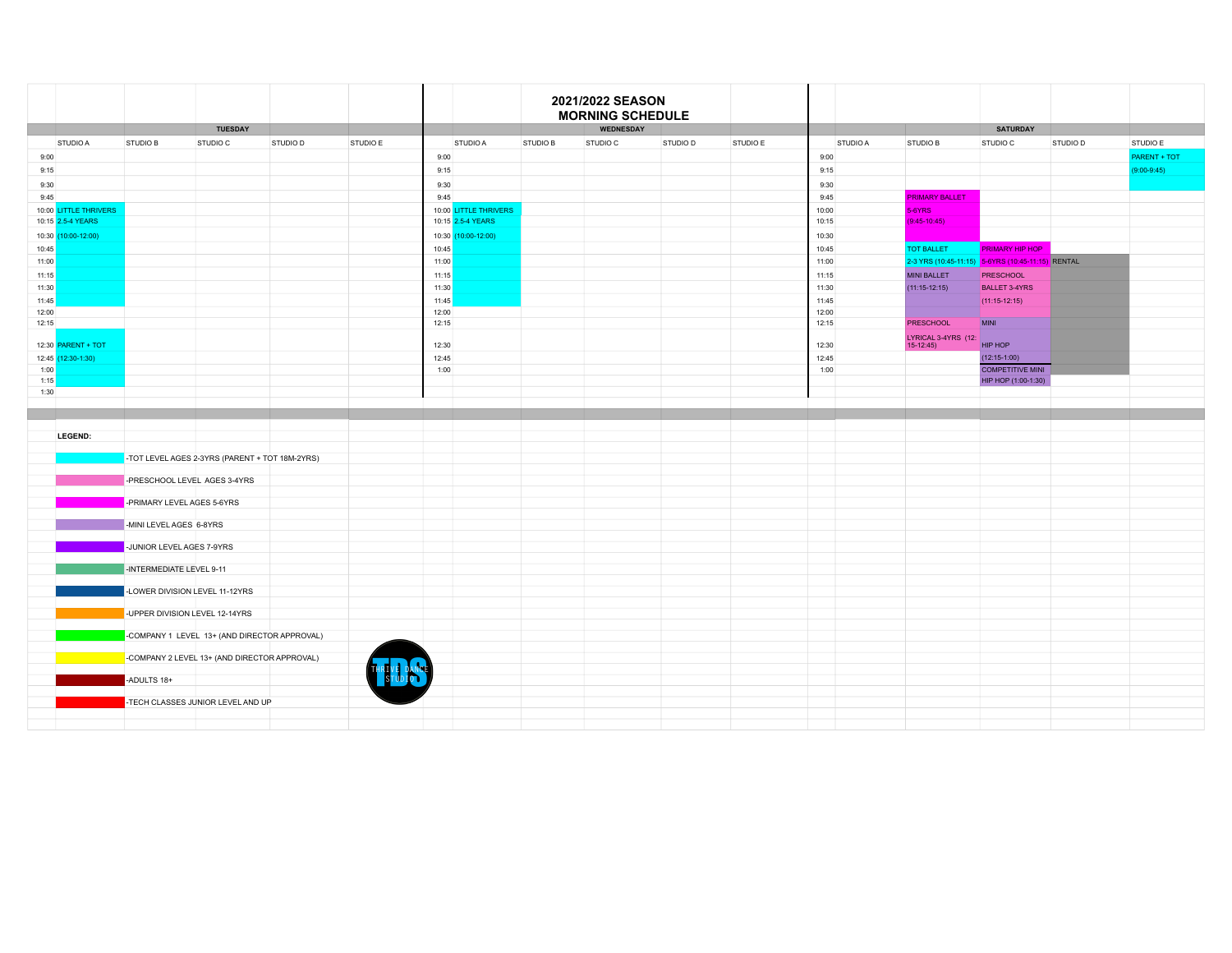|                |                           |                                                |                                   |          |          |                |                       |          | 2021/2022 SEASON<br><b>MORNING SCHEDULE</b> |          |          |                |          |                                                   |                         |          |               |
|----------------|---------------------------|------------------------------------------------|-----------------------------------|----------|----------|----------------|-----------------------|----------|---------------------------------------------|----------|----------|----------------|----------|---------------------------------------------------|-------------------------|----------|---------------|
|                |                           |                                                | <b>TUESDAY</b>                    |          |          |                |                       |          | <b>WEDNESDAY</b>                            |          |          |                |          |                                                   | <b>SATURDAY</b>         |          |               |
|                | STUDIO A                  | STUDIO B                                       | STUDIO C                          | STUDIO D | STUDIO E |                | STUDIO A              | STUDIO B | STUDIO C                                    | STUDIO D | STUDIO E |                | STUDIO A | STUDIO B                                          | STUDIO C                | STUDIO D | STUDIO E      |
| 9:00           |                           |                                                |                                   |          |          | 9:00           |                       |          |                                             |          |          | 9:00           |          |                                                   |                         |          | PARENT + TOT  |
| 9:15           |                           |                                                |                                   |          |          | 9:15           |                       |          |                                             |          |          | 9:15           |          |                                                   |                         |          | $(9:00-9:45)$ |
| 9:30           |                           |                                                |                                   |          |          | 9:30           |                       |          |                                             |          |          | 9:30           |          |                                                   |                         |          |               |
| 9:45           |                           |                                                |                                   |          |          | 9:45           |                       |          |                                             |          |          | 9:45           |          | <b>PRIMARY BALLET</b>                             |                         |          |               |
|                | 10:00 LITTLE THRIVERS     |                                                |                                   |          |          |                | 10:00 LITTLE THRIVERS |          |                                             |          |          | 10:00          |          | 5-6YRS                                            |                         |          |               |
|                | 10:15 2.5-4 YEARS         |                                                |                                   |          |          |                | 10:15 2.5-4 YEARS     |          |                                             |          |          | 10:15          |          | $(9:45-10:45)$                                    |                         |          |               |
|                | 10:30 (10:00-12:00)       |                                                |                                   |          |          |                | 10:30 (10:00-12:00)   |          |                                             |          |          | 10:30          |          |                                                   |                         |          |               |
| 10:45          |                           |                                                |                                   |          |          | 10:45          |                       |          |                                             |          |          | 10:45          |          | <b>TOT BALLET</b>                                 | <b>PRIMARY HIP HOP</b>  |          |               |
| 11:00          |                           |                                                |                                   |          |          | 11:00          |                       |          |                                             |          |          | 11:00          |          | 2-3 YRS (10:45-11:15) 5-6YRS (10:45-11:15) RENTAL |                         |          |               |
| 11:15          |                           |                                                |                                   |          |          | 11:15          |                       |          |                                             |          |          | 11:15          |          | <b>MINI BALLET</b>                                | <b>PRESCHOOL</b>        |          |               |
| 11:30          |                           |                                                |                                   |          |          | 11:30          |                       |          |                                             |          |          | 11:30          |          | $(11:15-12:15)$                                   | <b>BALLET 3-4YRS</b>    |          |               |
| 11:45          |                           |                                                |                                   |          |          | 11:45          |                       |          |                                             |          |          | 11:45          |          |                                                   | $(11:15-12:15)$         |          |               |
| 12:00<br>12:15 |                           |                                                |                                   |          |          | 12:00<br>12:15 |                       |          |                                             |          |          | 12:00<br>12:15 |          | <b>PRESCHOOL</b>                                  | <b>MINI</b>             |          |               |
|                |                           |                                                |                                   |          |          |                |                       |          |                                             |          |          |                |          | LYRICAL 3-4YRS (12:                               |                         |          |               |
|                | 12:30 <b>PARENT + TOT</b> |                                                |                                   |          |          | 12:30          |                       |          |                                             |          |          | 12:30          |          | $15-12:45$                                        | HIP HOP                 |          |               |
|                | 12:45 (12:30-1:30)        |                                                |                                   |          |          | 12:45          |                       |          |                                             |          |          | 12:45          |          |                                                   | $(12:15-1:00)$          |          |               |
| 1:00           |                           |                                                |                                   |          |          | 1:00           |                       |          |                                             |          |          | 1:00           |          |                                                   | <b>COMPETITIVE MINI</b> |          |               |
| 1:15           |                           |                                                |                                   |          |          |                |                       |          |                                             |          |          |                |          |                                                   | HIP HOP (1:00-1:30)     |          |               |
| 1:30           |                           |                                                |                                   |          |          |                |                       |          |                                             |          |          |                |          |                                                   |                         |          |               |
|                |                           |                                                |                                   |          |          |                |                       |          |                                             |          |          |                |          |                                                   |                         |          |               |
|                |                           |                                                |                                   |          |          |                |                       |          |                                             |          |          |                |          |                                                   |                         |          |               |
|                | LEGEND:                   |                                                |                                   |          |          |                |                       |          |                                             |          |          |                |          |                                                   |                         |          |               |
|                |                           | -TOT LEVEL AGES 2-3YRS (PARENT + TOT 18M-2YRS) |                                   |          |          |                |                       |          |                                             |          |          |                |          |                                                   |                         |          |               |
|                |                           |                                                |                                   |          |          |                |                       |          |                                             |          |          |                |          |                                                   |                         |          |               |
|                |                           | -PRESCHOOL LEVEL AGES 3-4YRS                   |                                   |          |          |                |                       |          |                                             |          |          |                |          |                                                   |                         |          |               |
|                |                           |                                                |                                   |          |          |                |                       |          |                                             |          |          |                |          |                                                   |                         |          |               |
|                |                           | -PRIMARY LEVEL AGES 5-6YRS                     |                                   |          |          |                |                       |          |                                             |          |          |                |          |                                                   |                         |          |               |
|                |                           | -MINI LEVEL AGES 6-8YRS                        |                                   |          |          |                |                       |          |                                             |          |          |                |          |                                                   |                         |          |               |
|                |                           |                                                |                                   |          |          |                |                       |          |                                             |          |          |                |          |                                                   |                         |          |               |
|                |                           | -JUNIOR LEVEL AGES 7-9YRS                      |                                   |          |          |                |                       |          |                                             |          |          |                |          |                                                   |                         |          |               |
|                |                           |                                                |                                   |          |          |                |                       |          |                                             |          |          |                |          |                                                   |                         |          |               |
|                |                           | -INTERMEDIATE LEVEL 9-11                       |                                   |          |          |                |                       |          |                                             |          |          |                |          |                                                   |                         |          |               |
|                |                           | -LOWER DIVISION LEVEL 11-12YRS                 |                                   |          |          |                |                       |          |                                             |          |          |                |          |                                                   |                         |          |               |
|                |                           |                                                |                                   |          |          |                |                       |          |                                             |          |          |                |          |                                                   |                         |          |               |
|                |                           | -UPPER DIVISION LEVEL 12-14YRS                 |                                   |          |          |                |                       |          |                                             |          |          |                |          |                                                   |                         |          |               |
|                |                           |                                                |                                   |          |          |                |                       |          |                                             |          |          |                |          |                                                   |                         |          |               |
|                |                           | -COMPANY 1 LEVEL 13+ (AND DIRECTOR APPROVAL)   |                                   |          |          |                |                       |          |                                             |          |          |                |          |                                                   |                         |          |               |
|                |                           | -COMPANY 2 LEVEL 13+ (AND DIRECTOR APPROVAL)   |                                   |          |          |                |                       |          |                                             |          |          |                |          |                                                   |                         |          |               |
|                |                           |                                                |                                   |          |          |                |                       |          |                                             |          |          |                |          |                                                   |                         |          |               |
|                |                           | -ADULTS 18+                                    |                                   |          |          |                |                       |          |                                             |          |          |                |          |                                                   |                         |          |               |
|                |                           |                                                |                                   |          |          |                |                       |          |                                             |          |          |                |          |                                                   |                         |          |               |
|                |                           |                                                | -TECH CLASSES JUNIOR LEVEL AND UP |          |          |                |                       |          |                                             |          |          |                |          |                                                   |                         |          |               |
|                |                           |                                                |                                   |          |          |                |                       |          |                                             |          |          |                |          |                                                   |                         |          |               |
|                |                           |                                                |                                   |          |          |                |                       |          |                                             |          |          |                |          |                                                   |                         |          |               |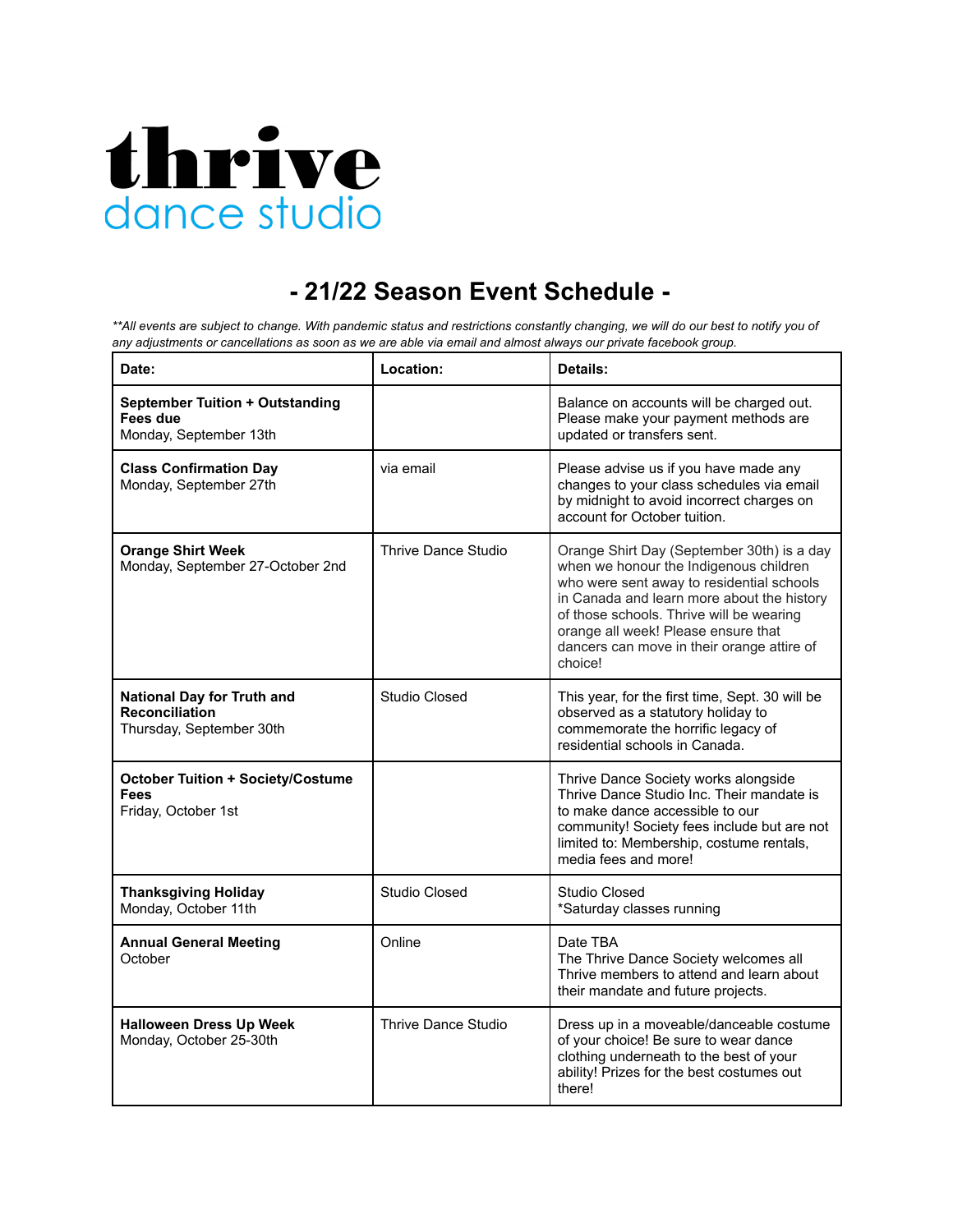

## **- 21/22 Season Event Schedule -**

\*\* All events are subject to change. With pandemic status and restrictions constantly changing, we will do our best to notify you of any adjustments or cancellations as soon as we are able via email and almost always our private facebook group.

| Date:                                                                                  | Location:                  | <b>Details:</b>                                                                                                                                                                                                                                                                                                             |  |  |  |
|----------------------------------------------------------------------------------------|----------------------------|-----------------------------------------------------------------------------------------------------------------------------------------------------------------------------------------------------------------------------------------------------------------------------------------------------------------------------|--|--|--|
| <b>September Tuition + Outstanding</b><br>Fees due<br>Monday, September 13th           |                            | Balance on accounts will be charged out.<br>Please make your payment methods are<br>updated or transfers sent.                                                                                                                                                                                                              |  |  |  |
| <b>Class Confirmation Day</b><br>Monday, September 27th                                | via email                  | Please advise us if you have made any<br>changes to your class schedules via email<br>by midnight to avoid incorrect charges on<br>account for October tuition.                                                                                                                                                             |  |  |  |
| <b>Orange Shirt Week</b><br>Monday, September 27-October 2nd                           | <b>Thrive Dance Studio</b> | Orange Shirt Day (September 30th) is a day<br>when we honour the Indigenous children<br>who were sent away to residential schools<br>in Canada and learn more about the history<br>of those schools. Thrive will be wearing<br>orange all week! Please ensure that<br>dancers can move in their orange attire of<br>choice! |  |  |  |
| <b>National Day for Truth and</b><br><b>Reconciliation</b><br>Thursday, September 30th | Studio Closed              | This year, for the first time, Sept. 30 will be<br>observed as a statutory holiday to<br>commemorate the horrific legacy of<br>residential schools in Canada.                                                                                                                                                               |  |  |  |
| <b>October Tuition + Society/Costume</b><br><b>Fees</b><br>Friday, October 1st         |                            | Thrive Dance Society works alongside<br>Thrive Dance Studio Inc. Their mandate is<br>to make dance accessible to our<br>community! Society fees include but are not<br>limited to: Membership, costume rentals,<br>media fees and more!                                                                                     |  |  |  |
| <b>Thanksgiving Holiday</b><br>Monday, October 11th                                    | <b>Studio Closed</b>       | <b>Studio Closed</b><br>*Saturday classes running                                                                                                                                                                                                                                                                           |  |  |  |
| <b>Annual General Meeting</b><br>October                                               | Online                     | Date TBA<br>The Thrive Dance Society welcomes all<br>Thrive members to attend and learn about<br>their mandate and future projects.                                                                                                                                                                                         |  |  |  |
| <b>Halloween Dress Up Week</b><br>Monday, October 25-30th                              | Thrive Dance Studio        | Dress up in a moveable/danceable costume<br>of your choice! Be sure to wear dance<br>clothing underneath to the best of your<br>ability! Prizes for the best costumes out<br>there!                                                                                                                                         |  |  |  |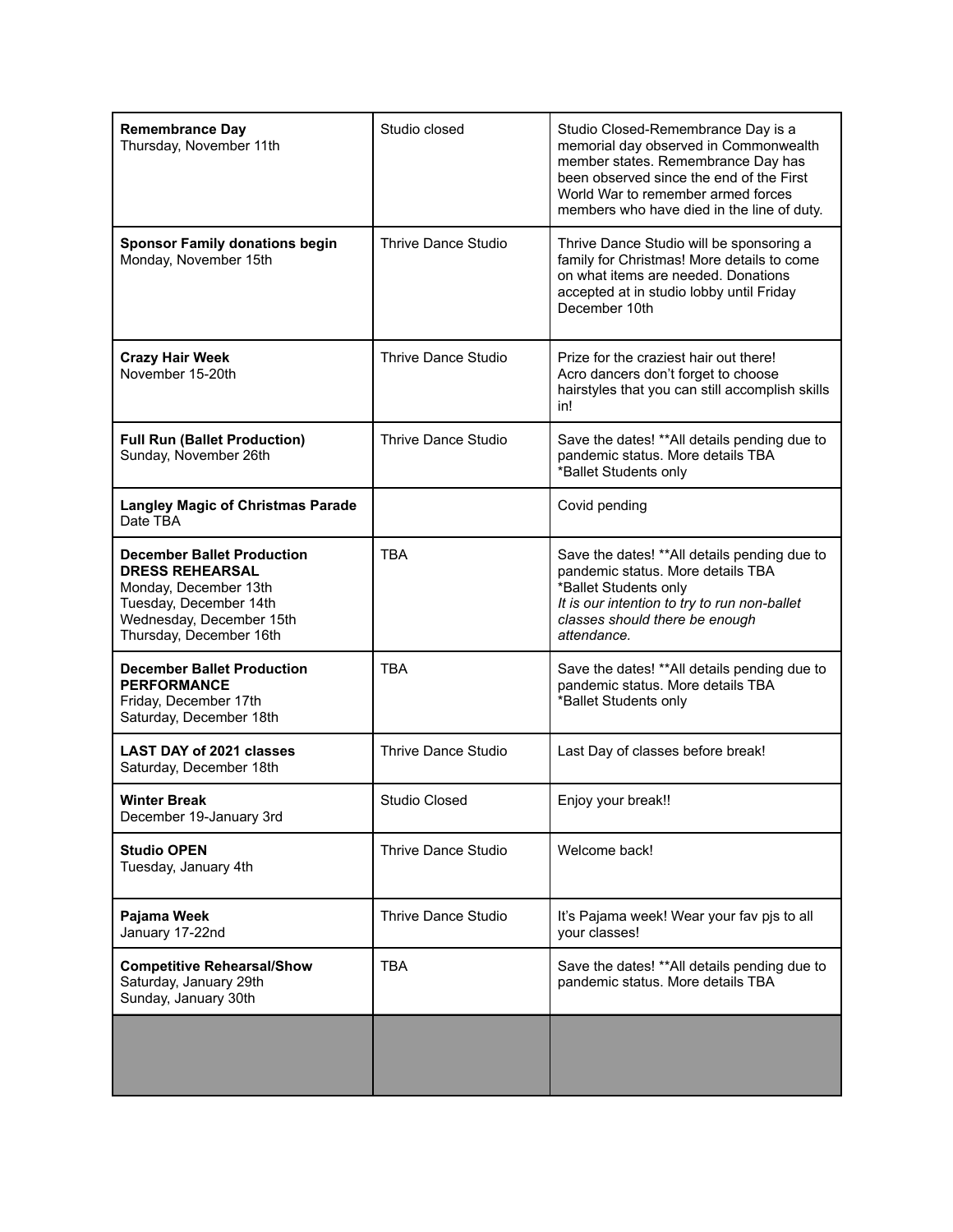| <b>Remembrance Day</b><br>Thursday, November 11th                                                                                                                     | Studio closed              | Studio Closed-Remembrance Day is a<br>memorial day observed in Commonwealth<br>member states. Remembrance Day has<br>been observed since the end of the First<br>World War to remember armed forces<br>members who have died in the line of duty. |  |  |  |  |
|-----------------------------------------------------------------------------------------------------------------------------------------------------------------------|----------------------------|---------------------------------------------------------------------------------------------------------------------------------------------------------------------------------------------------------------------------------------------------|--|--|--|--|
| <b>Sponsor Family donations begin</b><br>Monday, November 15th                                                                                                        | <b>Thrive Dance Studio</b> | Thrive Dance Studio will be sponsoring a<br>family for Christmas! More details to come<br>on what items are needed. Donations<br>accepted at in studio lobby until Friday<br>December 10th                                                        |  |  |  |  |
| <b>Crazy Hair Week</b><br>November 15-20th                                                                                                                            | <b>Thrive Dance Studio</b> | Prize for the craziest hair out there!<br>Acro dancers don't forget to choose<br>hairstyles that you can still accomplish skills<br>in!                                                                                                           |  |  |  |  |
| <b>Full Run (Ballet Production)</b><br>Sunday, November 26th                                                                                                          | Thrive Dance Studio        | Save the dates! ** All details pending due to<br>pandemic status. More details TBA<br>*Ballet Students only                                                                                                                                       |  |  |  |  |
| <b>Langley Magic of Christmas Parade</b><br>Date TBA                                                                                                                  |                            | Covid pending                                                                                                                                                                                                                                     |  |  |  |  |
| <b>December Ballet Production</b><br><b>DRESS REHEARSAL</b><br>Monday, December 13th<br>Tuesday, December 14th<br>Wednesday, December 15th<br>Thursday, December 16th | <b>TBA</b>                 | Save the dates! ** All details pending due to<br>pandemic status. More details TBA<br>*Ballet Students only<br>It is our intention to try to run non-ballet<br>classes should there be enough<br>attendance.                                      |  |  |  |  |
| <b>December Ballet Production</b><br><b>PERFORMANCE</b><br>Friday, December 17th<br>Saturday, December 18th                                                           | <b>TBA</b>                 | Save the dates! ** All details pending due to<br>pandemic status. More details TBA<br>*Ballet Students only                                                                                                                                       |  |  |  |  |
| <b>LAST DAY of 2021 classes</b><br>Saturday, December 18th                                                                                                            | <b>Thrive Dance Studio</b> | Last Day of classes before break!                                                                                                                                                                                                                 |  |  |  |  |
| <b>Winter Break</b><br>December 19-January 3rd                                                                                                                        | <b>Studio Closed</b>       | Enjoy your break!!                                                                                                                                                                                                                                |  |  |  |  |
| <b>Studio OPEN</b><br>Tuesday, January 4th                                                                                                                            | <b>Thrive Dance Studio</b> | Welcome back!                                                                                                                                                                                                                                     |  |  |  |  |
| Pajama Week<br>January 17-22nd                                                                                                                                        | Thrive Dance Studio        | It's Pajama week! Wear your fav pjs to all<br>your classes!                                                                                                                                                                                       |  |  |  |  |
| <b>Competitive Rehearsal/Show</b><br>Saturday, January 29th<br>Sunday, January 30th                                                                                   | <b>TBA</b>                 | Save the dates! ** All details pending due to<br>pandemic status. More details TBA                                                                                                                                                                |  |  |  |  |
|                                                                                                                                                                       |                            |                                                                                                                                                                                                                                                   |  |  |  |  |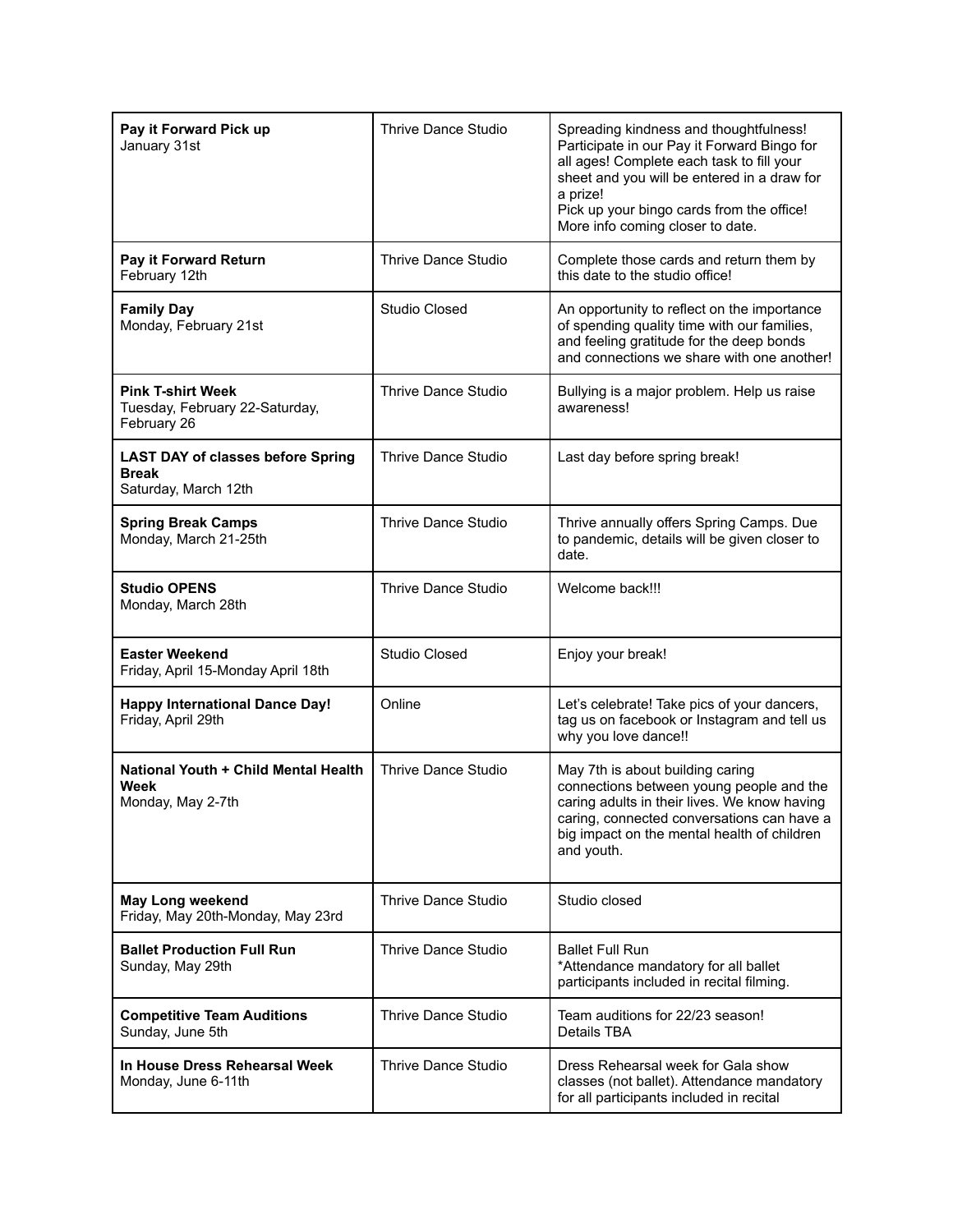| Pay it Forward Pick up<br>January 31st                                           | Thrive Dance Studio        | Spreading kindness and thoughtfulness!<br>Participate in our Pay it Forward Bingo for<br>all ages! Complete each task to fill your<br>sheet and you will be entered in a draw for<br>a prize!<br>Pick up your bingo cards from the office!<br>More info coming closer to date. |
|----------------------------------------------------------------------------------|----------------------------|--------------------------------------------------------------------------------------------------------------------------------------------------------------------------------------------------------------------------------------------------------------------------------|
| Pay it Forward Return<br>February 12th                                           | Thrive Dance Studio        | Complete those cards and return them by<br>this date to the studio office!                                                                                                                                                                                                     |
| <b>Family Day</b><br>Monday, February 21st                                       | <b>Studio Closed</b>       | An opportunity to reflect on the importance<br>of spending quality time with our families,<br>and feeling gratitude for the deep bonds<br>and connections we share with one another!                                                                                           |
| <b>Pink T-shirt Week</b><br>Tuesday, February 22-Saturday,<br>February 26        | <b>Thrive Dance Studio</b> | Bullying is a major problem. Help us raise<br>awareness!                                                                                                                                                                                                                       |
| <b>LAST DAY of classes before Spring</b><br><b>Break</b><br>Saturday, March 12th | Thrive Dance Studio        | Last day before spring break!                                                                                                                                                                                                                                                  |
| <b>Spring Break Camps</b><br>Monday, March 21-25th                               | Thrive Dance Studio        | Thrive annually offers Spring Camps. Due<br>to pandemic, details will be given closer to<br>date.                                                                                                                                                                              |
| <b>Studio OPENS</b><br>Monday, March 28th                                        | Thrive Dance Studio        | Welcome back!!!                                                                                                                                                                                                                                                                |
| <b>Easter Weekend</b><br>Friday, April 15-Monday April 18th                      | <b>Studio Closed</b>       | Enjoy your break!                                                                                                                                                                                                                                                              |
| <b>Happy International Dance Day!</b><br>Friday, April 29th                      | Online                     | Let's celebrate! Take pics of your dancers,<br>tag us on facebook or Instagram and tell us<br>why you love dance!!                                                                                                                                                             |
| National Youth + Child Mental Health<br>Week<br>Monday, May 2-7th                | <b>Thrive Dance Studio</b> | May 7th is about building caring<br>connections between young people and the<br>caring adults in their lives. We know having<br>caring, connected conversations can have a<br>big impact on the mental health of children<br>and youth.                                        |
| May Long weekend<br>Friday, May 20th-Monday, May 23rd                            | <b>Thrive Dance Studio</b> | Studio closed                                                                                                                                                                                                                                                                  |
| <b>Ballet Production Full Run</b><br>Sunday, May 29th                            | Thrive Dance Studio        | <b>Ballet Full Run</b><br>*Attendance mandatory for all ballet<br>participants included in recital filming.                                                                                                                                                                    |
| <b>Competitive Team Auditions</b><br>Sunday, June 5th                            | Thrive Dance Studio        | Team auditions for 22/23 season!<br>Details TBA                                                                                                                                                                                                                                |
| In House Dress Rehearsal Week<br>Monday, June 6-11th                             | <b>Thrive Dance Studio</b> | Dress Rehearsal week for Gala show<br>classes (not ballet). Attendance mandatory<br>for all participants included in recital                                                                                                                                                   |